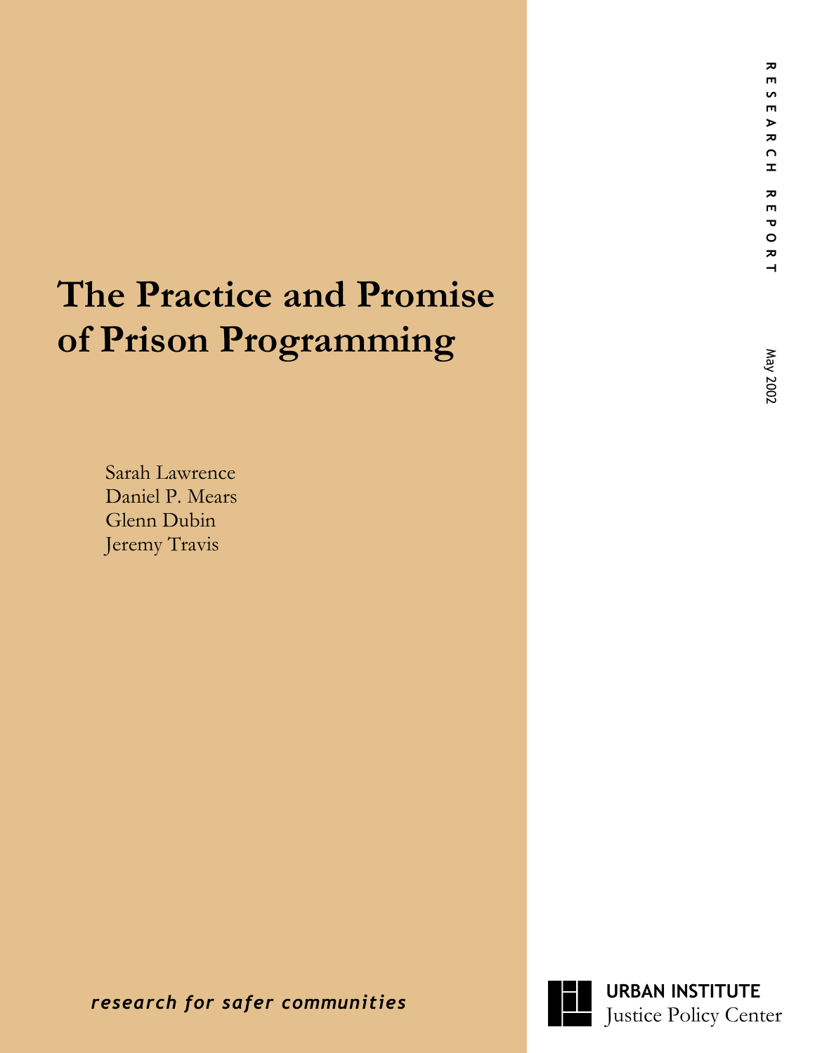# **The Practice and Promise of Prison Programming Superior Propriet Center and Promise**<br> **Prison Programming**<br>
Samh Lawrence<br>
Daniel P. Mears<br>
Jeremy Travis<br>
Jeremy Travis<br> **RESEARCH REPORT MAY 2002**<br> **RESEARCH REPORT MAY 2002**<br> **RESEARCH POSARCH RESEARCH PORTIVITY PRESE**

Sarah Lawrence Daniel P. Mears Glenn Dubin Jeremy Travis

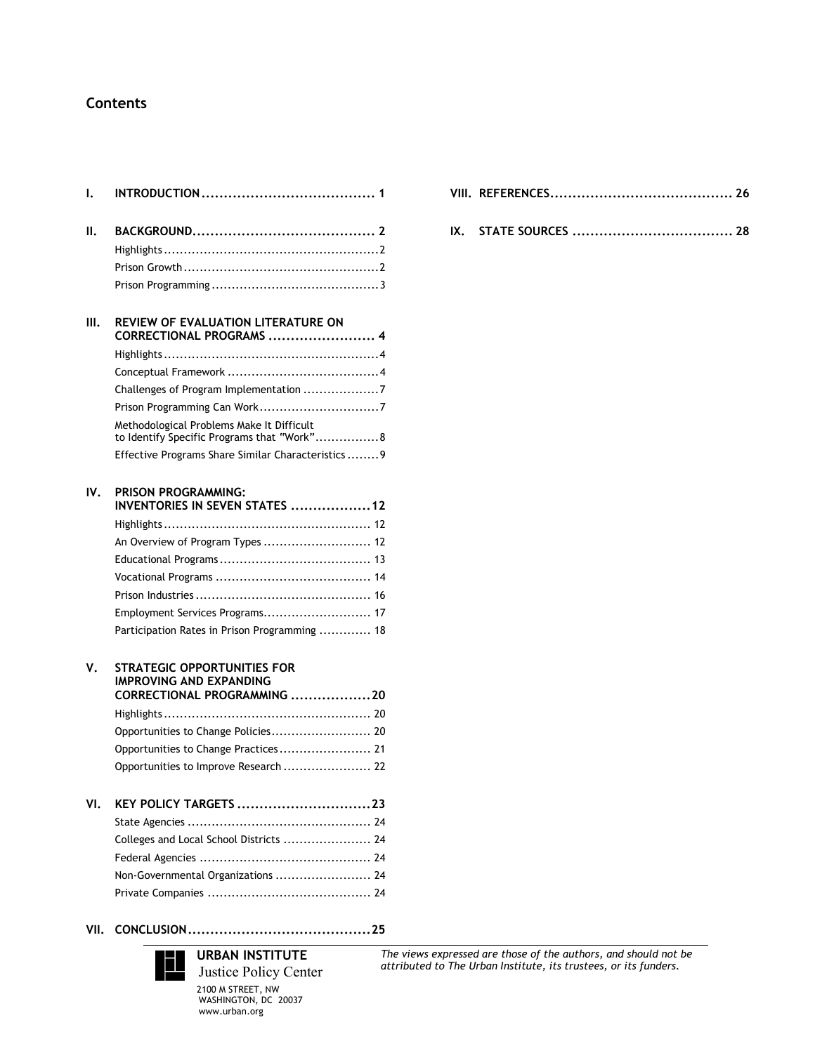# **Contents**

| ı.  |                                                                                                     |
|-----|-----------------------------------------------------------------------------------------------------|
| Ш.  |                                                                                                     |
|     |                                                                                                     |
|     |                                                                                                     |
|     |                                                                                                     |
| Ш.  | REVIEW OF EVALUATION LITERATURE ON<br>CORRECTIONAL PROGRAMS  4                                      |
|     |                                                                                                     |
|     |                                                                                                     |
|     | Challenges of Program Implementation 7                                                              |
|     |                                                                                                     |
|     | Methodological Problems Make It Difficult<br>to Identify Specific Programs that "Work" 8            |
|     | Effective Programs Share Similar Characteristics 9                                                  |
| IV. | PRISON PROGRAMMING:<br>INVENTORIES IN SEVEN STATES 12                                               |
|     |                                                                                                     |
|     | An Overview of Program Types  12                                                                    |
|     |                                                                                                     |
|     |                                                                                                     |
|     |                                                                                                     |
|     | Employment Services Programs 17                                                                     |
|     | Participation Rates in Prison Programming  18                                                       |
| ٧.  | <b>STRATEGIC OPPORTUNITIES FOR</b><br><b>IMPROVING AND EXPANDING</b><br>CORRECTIONAL PROGRAMMING 20 |
|     |                                                                                                     |
|     | Opportunities to Change Policies 20                                                                 |
|     | Opportunities to Change Practices 21                                                                |
|     | Opportunities to Improve Research  22                                                               |
| VI. | KEY POLICY TARGETS 23                                                                               |
|     | Colleges and Local School Districts  24                                                             |
|     |                                                                                                     |
|     |                                                                                                     |
|     | Non-Governmental Organizations  24                                                                  |
|     |                                                                                                     |

**IX. STATE SOURCES .................................... 28**

#### **VII. CONCLUSION.........................................25**



**URBAN INSTITUTE** Justice Policy Center 2100 M STREET, NW WASHINGTON, DC 20037 www.urban.org

*The views expressed are those of the authors, and should not be attributed to The Urban Institute, its trustees, or its funders.*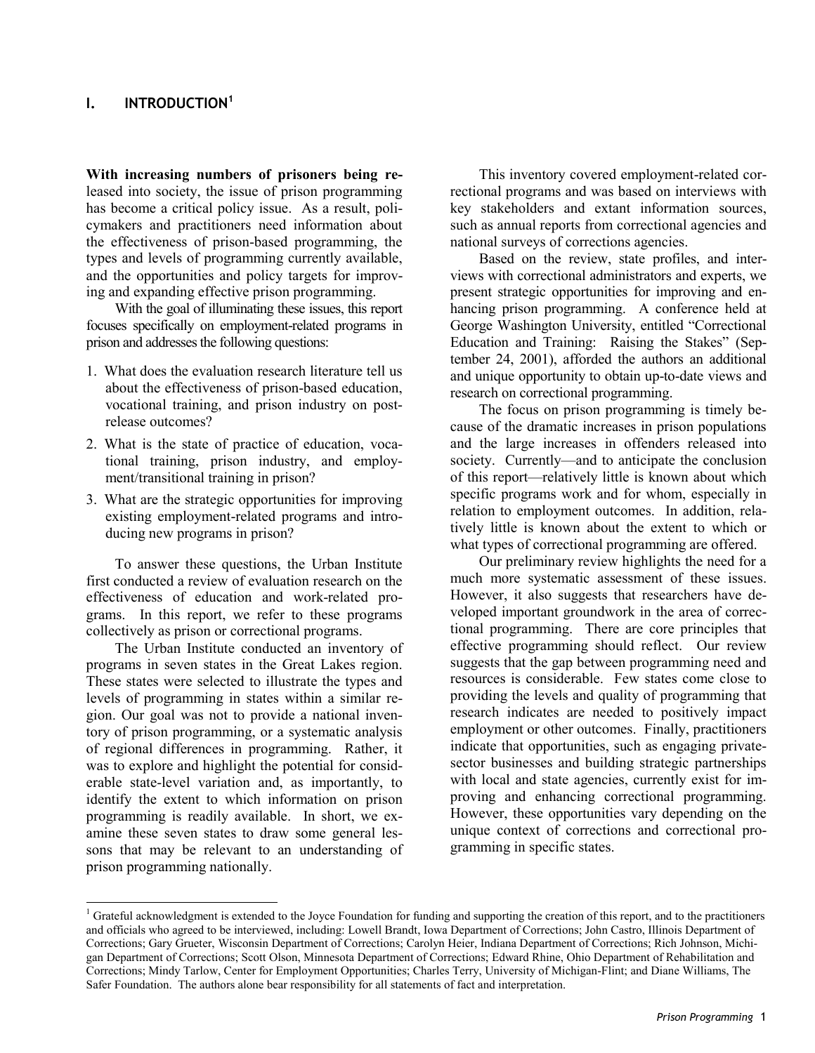# **I. INTRODUCTION1**

**With increasing numbers of prisoners being re**leased into society, the issue of prison programming has become a critical policy issue. As a result, policymakers and practitioners need information about the effectiveness of prison-based programming, the types and levels of programming currently available, and the opportunities and policy targets for improving and expanding effective prison programming.

With the goal of illuminating these issues, this report focuses specifically on employment-related programs in prison and addresses the following questions:

- 1. What does the evaluation research literature tell us about the effectiveness of prison-based education, vocational training, and prison industry on postrelease outcomes?
- 2. What is the state of practice of education, vocational training, prison industry, and employment/transitional training in prison?
- 3. What are the strategic opportunities for improving existing employment-related programs and introducing new programs in prison?

To answer these questions, the Urban Institute first conducted a review of evaluation research on the effectiveness of education and work-related programs. In this report, we refer to these programs collectively as prison or correctional programs.

The Urban Institute conducted an inventory of programs in seven states in the Great Lakes region. These states were selected to illustrate the types and levels of programming in states within a similar region. Our goal was not to provide a national inventory of prison programming, or a systematic analysis of regional differences in programming. Rather, it was to explore and highlight the potential for considerable state-level variation and, as importantly, to identify the extent to which information on prison programming is readily available. In short, we examine these seven states to draw some general lessons that may be relevant to an understanding of prison programming nationally.

l

This inventory covered employment-related correctional programs and was based on interviews with key stakeholders and extant information sources, such as annual reports from correctional agencies and national surveys of corrections agencies.

Based on the review, state profiles, and interviews with correctional administrators and experts, we present strategic opportunities for improving and enhancing prison programming. A conference held at George Washington University, entitled "Correctional Education and Training: Raising the Stakes" (September 24, 2001), afforded the authors an additional and unique opportunity to obtain up-to-date views and research on correctional programming.

The focus on prison programming is timely because of the dramatic increases in prison populations and the large increases in offenders released into society. Currently—and to anticipate the conclusion of this report—relatively little is known about which specific programs work and for whom, especially in relation to employment outcomes. In addition, relatively little is known about the extent to which or what types of correctional programming are offered.

Our preliminary review highlights the need for a much more systematic assessment of these issues. However, it also suggests that researchers have developed important groundwork in the area of correctional programming. There are core principles that effective programming should reflect. Our review suggests that the gap between programming need and resources is considerable. Few states come close to providing the levels and quality of programming that research indicates are needed to positively impact employment or other outcomes. Finally, practitioners indicate that opportunities, such as engaging privatesector businesses and building strategic partnerships with local and state agencies, currently exist for improving and enhancing correctional programming. However, these opportunities vary depending on the unique context of corrections and correctional programming in specific states.

<sup>&</sup>lt;sup>1</sup> Grateful acknowledgment is extended to the Joyce Foundation for funding and supporting the creation of this report, and to the practitioners and officials who agreed to be interviewed, including: Lowell Brandt, Iowa Department of Corrections; John Castro, Illinois Department of Corrections; Gary Grueter, Wisconsin Department of Corrections; Carolyn Heier, Indiana Department of Corrections; Rich Johnson, Michigan Department of Corrections; Scott Olson, Minnesota Department of Corrections; Edward Rhine, Ohio Department of Rehabilitation and Corrections; Mindy Tarlow, Center for Employment Opportunities; Charles Terry, University of Michigan-Flint; and Diane Williams, The Safer Foundation. The authors alone bear responsibility for all statements of fact and interpretation.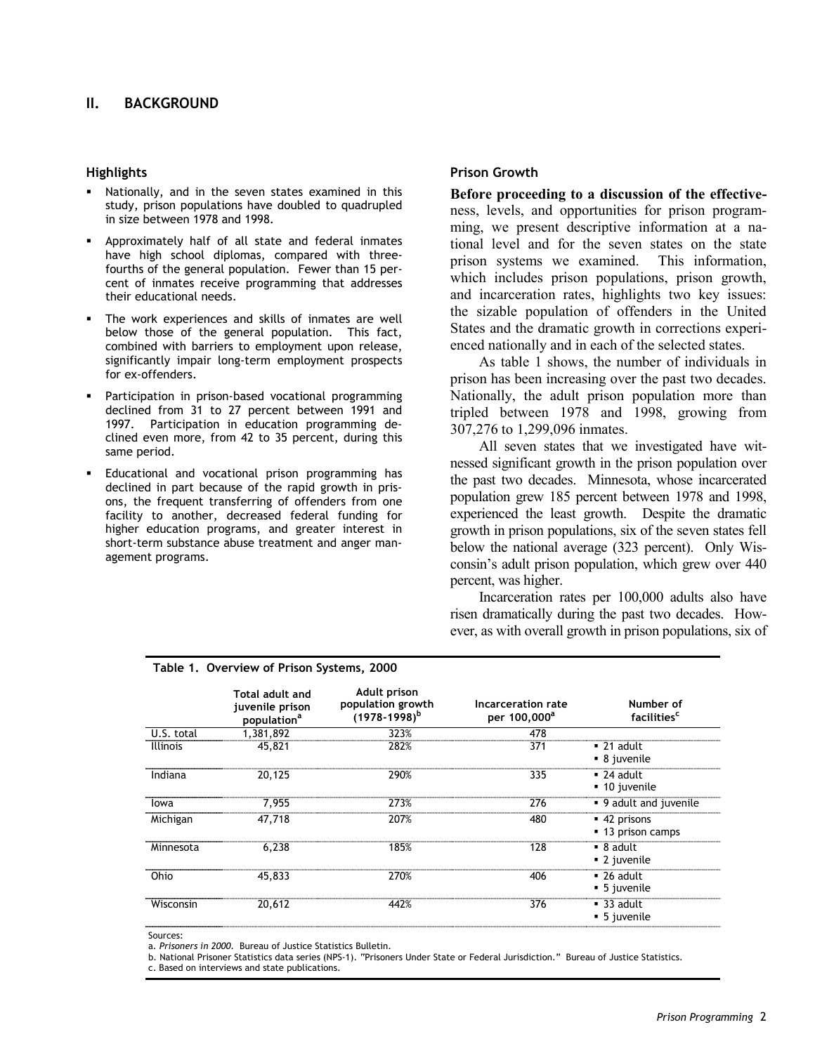## **II. BACKGROUND**

#### **Highlights**

- Nationally, and in the seven states examined in this study, prison populations have doubled to quadrupled in size between 1978 and 1998.
- Approximately half of all state and federal inmates have high school diplomas, compared with threefourths of the general population. Fewer than 15 percent of inmates receive programming that addresses their educational needs.
- The work experiences and skills of inmates are well below those of the general population. This fact, combined with barriers to employment upon release, significantly impair long-term employment prospects for ex-offenders.
- Participation in prison-based vocational programming declined from 31 to 27 percent between 1991 and 1997. Participation in education programming declined even more, from 42 to 35 percent, during this same period.
- Educational and vocational prison programming has declined in part because of the rapid growth in prisons, the frequent transferring of offenders from one facility to another, decreased federal funding for higher education programs, and greater interest in short-term substance abuse treatment and anger management programs.

#### **Prison Growth**

**Before proceeding to a discussion of the effective**ness, levels, and opportunities for prison programming, we present descriptive information at a national level and for the seven states on the state prison systems we examined. This information, which includes prison populations, prison growth, and incarceration rates, highlights two key issues: the sizable population of offenders in the United States and the dramatic growth in corrections experienced nationally and in each of the selected states.

As table 1 shows, the number of individuals in prison has been increasing over the past two decades. Nationally, the adult prison population more than tripled between 1978 and 1998, growing from 307,276 to 1,299,096 inmates.

All seven states that we investigated have witnessed significant growth in the prison population over the past two decades. Minnesota, whose incarcerated population grew 185 percent between 1978 and 1998, experienced the least growth. Despite the dramatic growth in prison populations, six of the seven states fell below the national average (323 percent). Only Wisconsin's adult prison population, which grew over 440 percent, was higher.

Incarceration rates per 100,000 adults also have risen dramatically during the past two decades. However, as with overall growth in prison populations, six of

|                 | Total adult and<br>juvenile prison<br>population <sup>a</sup> | Adult prison<br>population growth<br>$(1978-1998)^b$ | Incarceration rate<br>per 100,000 <sup>a</sup> | Number of<br>facilities <sup>c</sup>                 |
|-----------------|---------------------------------------------------------------|------------------------------------------------------|------------------------------------------------|------------------------------------------------------|
| U.S. total      | 1,381,892                                                     | 323%                                                 | 478                                            |                                                      |
| <b>Illinois</b> | 45,821                                                        | 282%                                                 | 371                                            | $\blacksquare$ 21 adult<br>• 8 juvenile              |
| Indiana         | 20,125                                                        | 290%                                                 | 335                                            | $\blacksquare$ 24 adult<br>■ 10 juvenile             |
| lowa            | 7.955                                                         | 273%                                                 | 276                                            | • 9 adult and juvenile                               |
| Michigan        | 47.718                                                        | 207%                                                 | 480                                            | $-42$ prisons<br>• 13 prison camps                   |
| Minnesota       | 6.238                                                         | 185%                                                 | 128                                            | $\blacksquare$ 8 adult<br>■ 2 juvenile               |
| Ohio            | 45,833                                                        | 270%                                                 | 406                                            | $\blacksquare$ 26 adult<br>$\blacksquare$ 5 juvenile |
| Wisconsin       | 20,612                                                        | 442%                                                 | 376                                            | $\blacksquare$ 33 adult<br>$\blacksquare$ 5 juvenile |

#### **Table 1. Overview of Prison Systems, 2000**

Sources:

a. *Prisoners in 2000*. Bureau of Justice Statistics Bulletin.

b. National Prisoner Statistics data series (NPS-1). "Prisoners Under State or Federal Jurisdiction." Bureau of Justice Statistics.

c. Based on interviews and state publications.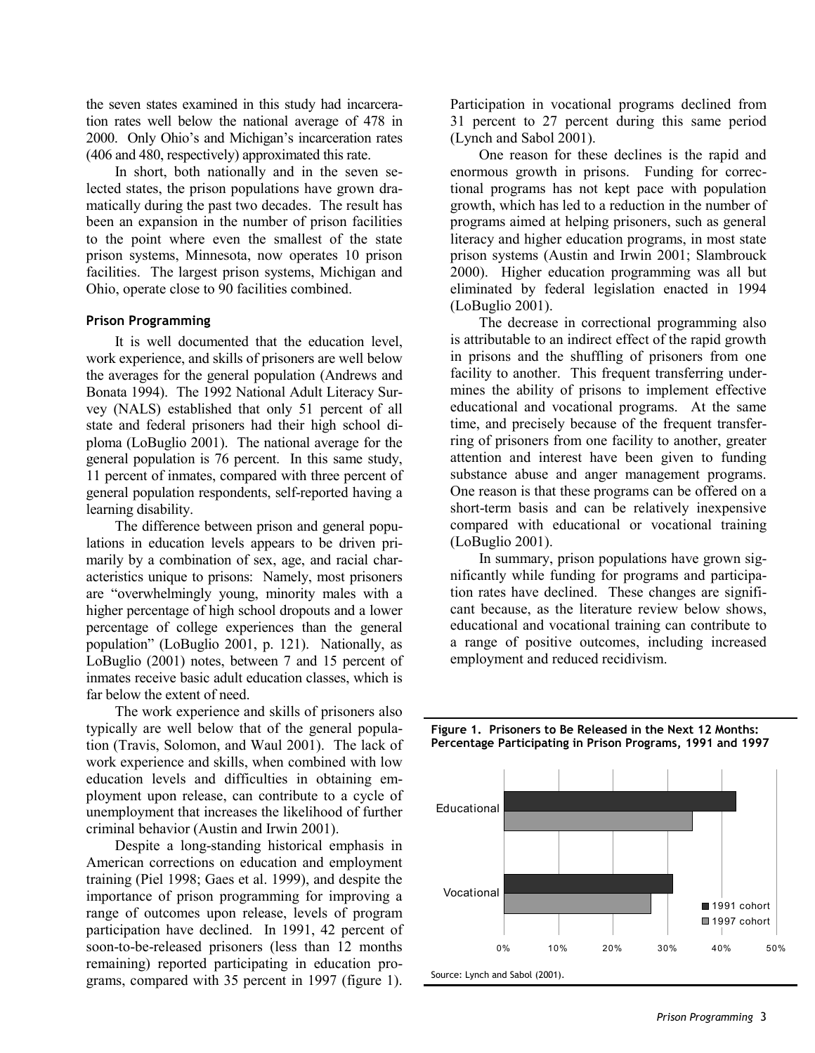the seven states examined in this study had incarceration rates well below the national average of 478 in 2000. Only Ohio's and Michigan's incarceration rates (406 and 480, respectively) approximated this rate.

In short, both nationally and in the seven selected states, the prison populations have grown dramatically during the past two decades. The result has been an expansion in the number of prison facilities to the point where even the smallest of the state prison systems, Minnesota, now operates 10 prison facilities. The largest prison systems, Michigan and Ohio, operate close to 90 facilities combined.

#### **Prison Programming**

It is well documented that the education level, work experience, and skills of prisoners are well below the averages for the general population (Andrews and Bonata 1994). The 1992 National Adult Literacy Survey (NALS) established that only 51 percent of all state and federal prisoners had their high school diploma (LoBuglio 2001). The national average for the general population is 76 percent. In this same study, 11 percent of inmates, compared with three percent of general population respondents, self-reported having a learning disability.

The difference between prison and general populations in education levels appears to be driven primarily by a combination of sex, age, and racial characteristics unique to prisons: Namely, most prisoners are "overwhelmingly young, minority males with a higher percentage of high school dropouts and a lower percentage of college experiences than the general population" (LoBuglio 2001, p. 121). Nationally, as LoBuglio (2001) notes, between 7 and 15 percent of inmates receive basic adult education classes, which is far below the extent of need.

The work experience and skills of prisoners also typically are well below that of the general population (Travis, Solomon, and Waul 2001). The lack of work experience and skills, when combined with low education levels and difficulties in obtaining employment upon release, can contribute to a cycle of unemployment that increases the likelihood of further criminal behavior (Austin and Irwin 2001).

Despite a long-standing historical emphasis in American corrections on education and employment training (Piel 1998; Gaes et al. 1999), and despite the importance of prison programming for improving a range of outcomes upon release, levels of program participation have declined. In 1991, 42 percent of soon-to-be-released prisoners (less than 12 months remaining) reported participating in education programs, compared with 35 percent in 1997 (figure 1).

Participation in vocational programs declined from 31 percent to 27 percent during this same period (Lynch and Sabol 2001).

One reason for these declines is the rapid and enormous growth in prisons. Funding for correctional programs has not kept pace with population growth, which has led to a reduction in the number of programs aimed at helping prisoners, such as general literacy and higher education programs, in most state prison systems (Austin and Irwin 2001; Slambrouck 2000). Higher education programming was all but eliminated by federal legislation enacted in 1994 (LoBuglio 2001).

The decrease in correctional programming also is attributable to an indirect effect of the rapid growth in prisons and the shuffling of prisoners from one facility to another. This frequent transferring undermines the ability of prisons to implement effective educational and vocational programs. At the same time, and precisely because of the frequent transferring of prisoners from one facility to another, greater attention and interest have been given to funding substance abuse and anger management programs. One reason is that these programs can be offered on a short-term basis and can be relatively inexpensive compared with educational or vocational training (LoBuglio 2001).

In summary, prison populations have grown significantly while funding for programs and participation rates have declined. These changes are significant because, as the literature review below shows, educational and vocational training can contribute to a range of positive outcomes, including increased employment and reduced recidivism.



#### **Figure 1. Prisoners to Be Released in the Next 12 Months: Percentage Participating in Prison Programs, 1991 and 1997**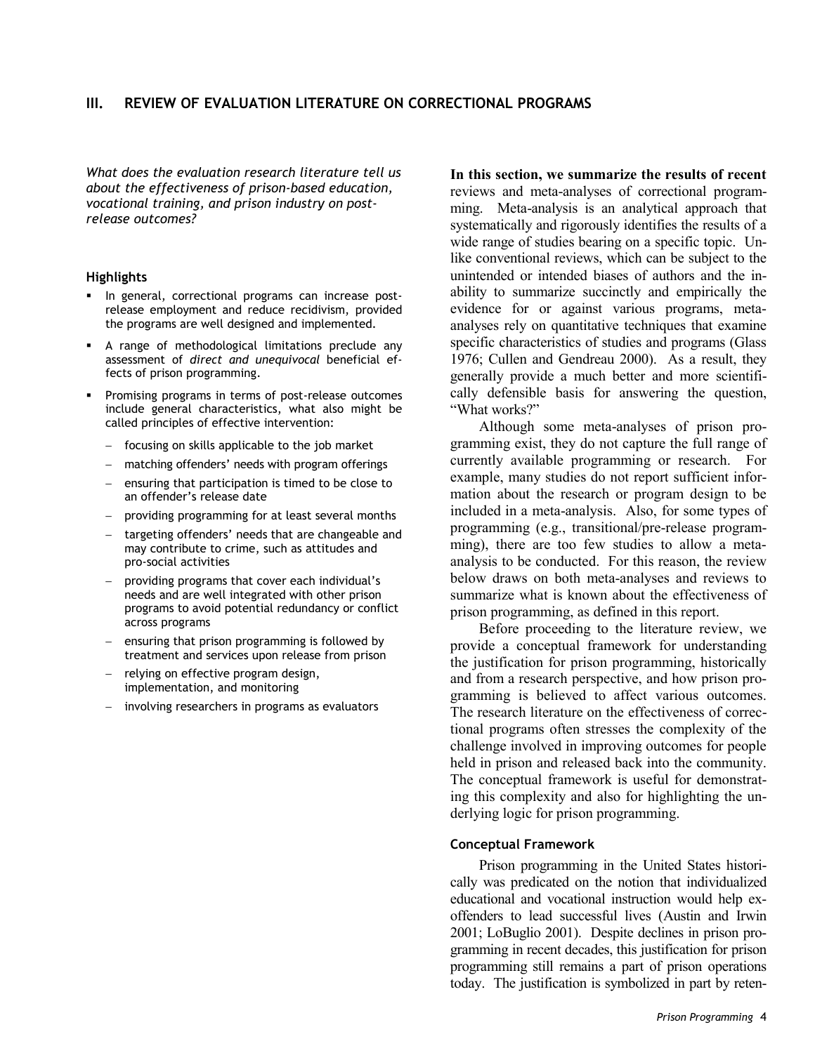### **III. REVIEW OF EVALUATION LITERATURE ON CORRECTIONAL PROGRAMS**

*What does the evaluation research literature tell us about the effectiveness of prison-based education, vocational training, and prison industry on postrelease outcomes?*

#### **Highlights**

- $\blacksquare$  In general, correctional programs can increase postrelease employment and reduce recidivism, provided the programs are well designed and implemented.
- A range of methodological limitations preclude any assessment of *direct and unequivocal* beneficial effects of prison programming.
- Promising programs in terms of post-release outcomes include general characteristics, what also might be called principles of effective intervention:
	- focusing on skills applicable to the job market
	- matching offenders' needs with program offerings
	- ensuring that participation is timed to be close to an offender's release date
	- providing programming for at least several months
	- targeting offenders' needs that are changeable and may contribute to crime, such as attitudes and pro-social activities
	- providing programs that cover each individual's needs and are well integrated with other prison programs to avoid potential redundancy or conflict across programs
	- ensuring that prison programming is followed by treatment and services upon release from prison
	- relying on effective program design, implementation, and monitoring
	- involving researchers in programs as evaluators

**In this section, we summarize the results of recent** reviews and meta-analyses of correctional programming. Meta-analysis is an analytical approach that systematically and rigorously identifies the results of a wide range of studies bearing on a specific topic. Unlike conventional reviews, which can be subject to the unintended or intended biases of authors and the inability to summarize succinctly and empirically the evidence for or against various programs, metaanalyses rely on quantitative techniques that examine specific characteristics of studies and programs (Glass 1976; Cullen and Gendreau 2000). As a result, they generally provide a much better and more scientifically defensible basis for answering the question, "What works?"

Although some meta-analyses of prison programming exist, they do not capture the full range of currently available programming or research. For example, many studies do not report sufficient information about the research or program design to be included in a meta-analysis. Also, for some types of programming (e.g., transitional/pre-release programming), there are too few studies to allow a metaanalysis to be conducted. For this reason, the review below draws on both meta-analyses and reviews to summarize what is known about the effectiveness of prison programming, as defined in this report.

Before proceeding to the literature review, we provide a conceptual framework for understanding the justification for prison programming, historically and from a research perspective, and how prison programming is believed to affect various outcomes. The research literature on the effectiveness of correctional programs often stresses the complexity of the challenge involved in improving outcomes for people held in prison and released back into the community. The conceptual framework is useful for demonstrating this complexity and also for highlighting the underlying logic for prison programming.

#### **Conceptual Framework**

Prison programming in the United States historically was predicated on the notion that individualized educational and vocational instruction would help exoffenders to lead successful lives (Austin and Irwin 2001; LoBuglio 2001). Despite declines in prison programming in recent decades, this justification for prison programming still remains a part of prison operations today. The justification is symbolized in part by reten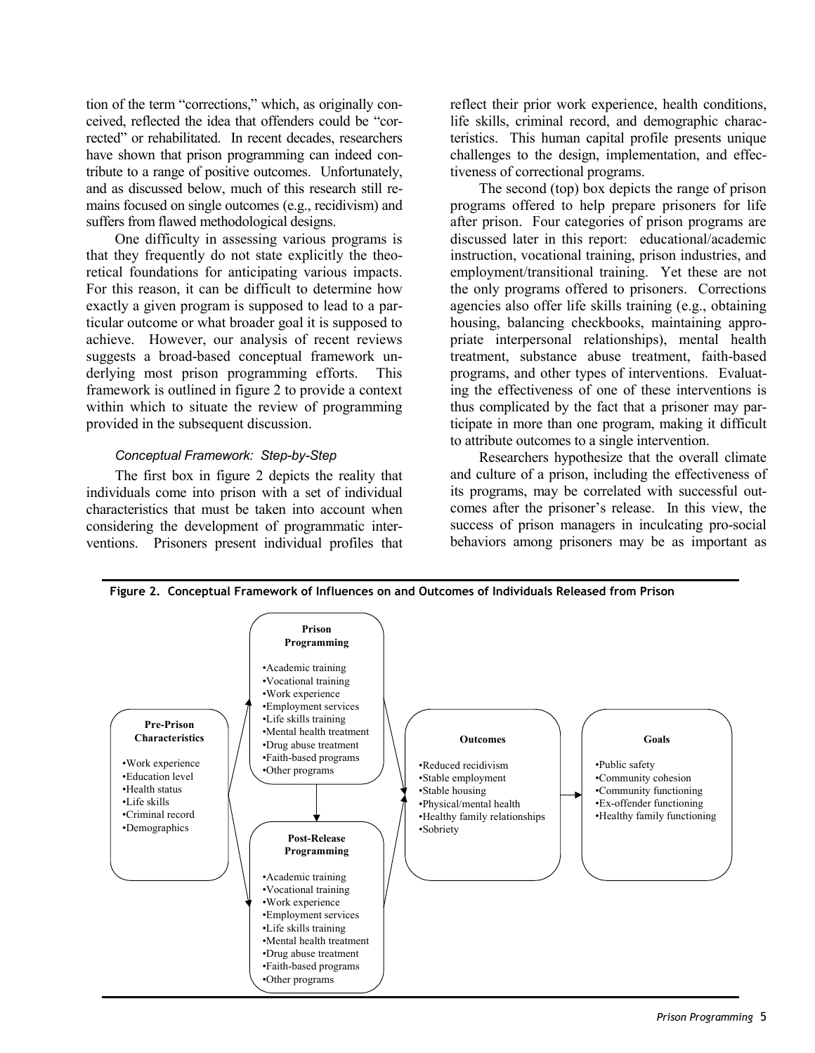tion of the term "corrections," which, as originally conceived, reflected the idea that offenders could be "corrected" or rehabilitated. In recent decades, researchers have shown that prison programming can indeed contribute to a range of positive outcomes. Unfortunately, and as discussed below, much of this research still remains focused on single outcomes (e.g., recidivism) and suffers from flawed methodological designs.

One difficulty in assessing various programs is that they frequently do not state explicitly the theoretical foundations for anticipating various impacts. For this reason, it can be difficult to determine how exactly a given program is supposed to lead to a particular outcome or what broader goal it is supposed to achieve. However, our analysis of recent reviews suggests a broad-based conceptual framework underlying most prison programming efforts. This framework is outlined in figure 2 to provide a context within which to situate the review of programming provided in the subsequent discussion.

#### *Conceptual Framework: Step-by-Step*

The first box in figure 2 depicts the reality that individuals come into prison with a set of individual characteristics that must be taken into account when considering the development of programmatic interventions. Prisoners present individual profiles that reflect their prior work experience, health conditions, life skills, criminal record, and demographic characteristics. This human capital profile presents unique challenges to the design, implementation, and effectiveness of correctional programs.

The second (top) box depicts the range of prison programs offered to help prepare prisoners for life after prison. Four categories of prison programs are discussed later in this report: educational/academic instruction, vocational training, prison industries, and employment/transitional training. Yet these are not the only programs offered to prisoners. Corrections agencies also offer life skills training (e.g., obtaining housing, balancing checkbooks, maintaining appropriate interpersonal relationships), mental health treatment, substance abuse treatment, faith-based programs, and other types of interventions. Evaluating the effectiveness of one of these interventions is thus complicated by the fact that a prisoner may participate in more than one program, making it difficult to attribute outcomes to a single intervention.

Researchers hypothesize that the overall climate and culture of a prison, including the effectiveness of its programs, may be correlated with successful outcomes after the prisoner's release. In this view, the success of prison managers in inculcating pro-social behaviors among prisoners may be as important as



**Figure 2. Conceptual Framework of Influences on and Outcomes of Individuals Released from Prison**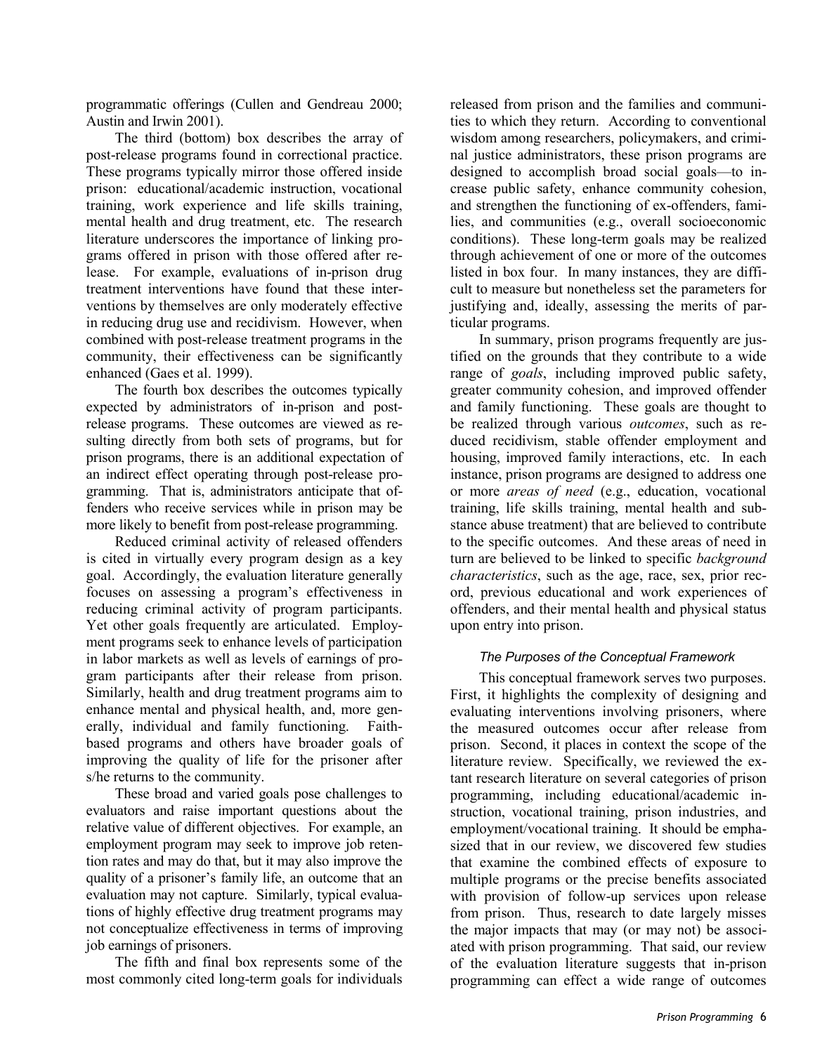programmatic offerings (Cullen and Gendreau 2000; Austin and Irwin 2001).

The third (bottom) box describes the array of post-release programs found in correctional practice. These programs typically mirror those offered inside prison: educational/academic instruction, vocational training, work experience and life skills training, mental health and drug treatment, etc. The research literature underscores the importance of linking programs offered in prison with those offered after release. For example, evaluations of in-prison drug treatment interventions have found that these interventions by themselves are only moderately effective in reducing drug use and recidivism. However, when combined with post-release treatment programs in the community, their effectiveness can be significantly enhanced (Gaes et al. 1999).

The fourth box describes the outcomes typically expected by administrators of in-prison and postrelease programs. These outcomes are viewed as resulting directly from both sets of programs, but for prison programs, there is an additional expectation of an indirect effect operating through post-release programming. That is, administrators anticipate that offenders who receive services while in prison may be more likely to benefit from post-release programming.

Reduced criminal activity of released offenders is cited in virtually every program design as a key goal. Accordingly, the evaluation literature generally focuses on assessing a program's effectiveness in reducing criminal activity of program participants. Yet other goals frequently are articulated. Employment programs seek to enhance levels of participation in labor markets as well as levels of earnings of program participants after their release from prison. Similarly, health and drug treatment programs aim to enhance mental and physical health, and, more generally, individual and family functioning. Faithbased programs and others have broader goals of improving the quality of life for the prisoner after s/he returns to the community.

These broad and varied goals pose challenges to evaluators and raise important questions about the relative value of different objectives. For example, an employment program may seek to improve job retention rates and may do that, but it may also improve the quality of a prisoner's family life, an outcome that an evaluation may not capture. Similarly, typical evaluations of highly effective drug treatment programs may not conceptualize effectiveness in terms of improving job earnings of prisoners.

The fifth and final box represents some of the most commonly cited long-term goals for individuals

released from prison and the families and communities to which they return. According to conventional wisdom among researchers, policymakers, and criminal justice administrators, these prison programs are designed to accomplish broad social goals—to increase public safety, enhance community cohesion, and strengthen the functioning of ex-offenders, families, and communities (e.g., overall socioeconomic conditions). These long-term goals may be realized through achievement of one or more of the outcomes listed in box four. In many instances, they are difficult to measure but nonetheless set the parameters for justifying and, ideally, assessing the merits of particular programs.

In summary, prison programs frequently are justified on the grounds that they contribute to a wide range of *goals*, including improved public safety, greater community cohesion, and improved offender and family functioning. These goals are thought to be realized through various *outcomes*, such as reduced recidivism, stable offender employment and housing, improved family interactions, etc. In each instance, prison programs are designed to address one or more *areas of need* (e.g., education, vocational training, life skills training, mental health and substance abuse treatment) that are believed to contribute to the specific outcomes. And these areas of need in turn are believed to be linked to specific *background characteristics*, such as the age, race, sex, prior record, previous educational and work experiences of offenders, and their mental health and physical status upon entry into prison.

# *The Purposes of the Conceptual Framework*

This conceptual framework serves two purposes. First, it highlights the complexity of designing and evaluating interventions involving prisoners, where the measured outcomes occur after release from prison. Second, it places in context the scope of the literature review. Specifically, we reviewed the extant research literature on several categories of prison programming, including educational/academic instruction, vocational training, prison industries, and employment/vocational training. It should be emphasized that in our review, we discovered few studies that examine the combined effects of exposure to multiple programs or the precise benefits associated with provision of follow-up services upon release from prison. Thus, research to date largely misses the major impacts that may (or may not) be associated with prison programming. That said, our review of the evaluation literature suggests that in-prison programming can effect a wide range of outcomes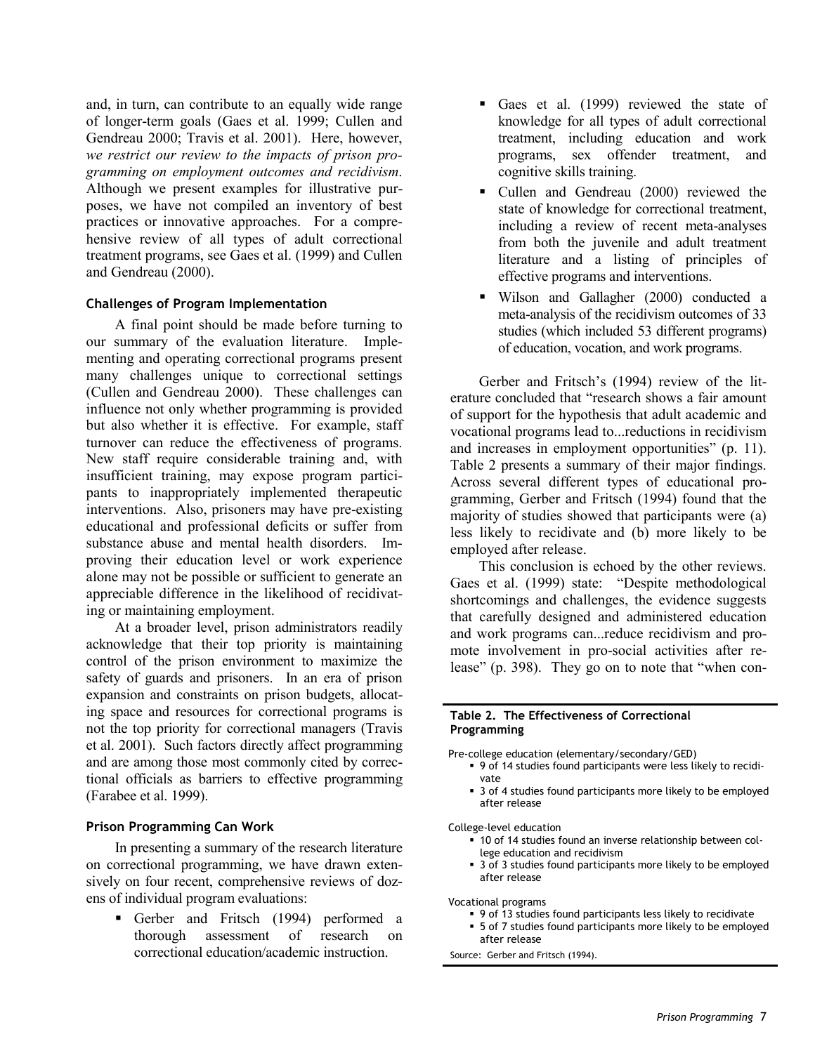and, in turn, can contribute to an equally wide range of longer-term goals (Gaes et al. 1999; Cullen and Gendreau 2000; Travis et al. 2001). Here, however, *we restrict our review to the impacts of prison programming on employment outcomes and recidivism*. Although we present examples for illustrative purposes, we have not compiled an inventory of best practices or innovative approaches. For a comprehensive review of all types of adult correctional treatment programs, see Gaes et al. (1999) and Cullen and Gendreau (2000).

#### **Challenges of Program Implementation**

A final point should be made before turning to our summary of the evaluation literature. Implementing and operating correctional programs present many challenges unique to correctional settings (Cullen and Gendreau 2000). These challenges can influence not only whether programming is provided but also whether it is effective. For example, staff turnover can reduce the effectiveness of programs. New staff require considerable training and, with insufficient training, may expose program participants to inappropriately implemented therapeutic interventions. Also, prisoners may have pre-existing educational and professional deficits or suffer from substance abuse and mental health disorders. Improving their education level or work experience alone may not be possible or sufficient to generate an appreciable difference in the likelihood of recidivating or maintaining employment.

At a broader level, prison administrators readily acknowledge that their top priority is maintaining control of the prison environment to maximize the safety of guards and prisoners. In an era of prison expansion and constraints on prison budgets, allocating space and resources for correctional programs is not the top priority for correctional managers (Travis et al. 2001). Such factors directly affect programming and are among those most commonly cited by correctional officials as barriers to effective programming (Farabee et al. 1999).

#### **Prison Programming Can Work**

In presenting a summary of the research literature on correctional programming, we have drawn extensively on four recent, comprehensive reviews of dozens of individual program evaluations:

Gerber and Fritsch (1994) performed a thorough assessment of research on correctional education/academic instruction.

- Gaes et al. (1999) reviewed the state of knowledge for all types of adult correctional treatment, including education and work programs, sex offender treatment, and cognitive skills training.
- Cullen and Gendreau (2000) reviewed the state of knowledge for correctional treatment, including a review of recent meta-analyses from both the juvenile and adult treatment literature and a listing of principles of effective programs and interventions.
- Wilson and Gallagher (2000) conducted a meta-analysis of the recidivism outcomes of 33 studies (which included 53 different programs) of education, vocation, and work programs.

Gerber and Fritsch's (1994) review of the literature concluded that "research shows a fair amount of support for the hypothesis that adult academic and vocational programs lead to...reductions in recidivism and increases in employment opportunities" (p. 11). Table 2 presents a summary of their major findings. Across several different types of educational programming, Gerber and Fritsch (1994) found that the majority of studies showed that participants were (a) less likely to recidivate and (b) more likely to be employed after release.

This conclusion is echoed by the other reviews. Gaes et al. (1999) state: "Despite methodological shortcomings and challenges, the evidence suggests that carefully designed and administered education and work programs can...reduce recidivism and promote involvement in pro-social activities after release" (p. 398). They go on to note that "when con-

#### **Table 2. The Effectiveness of Correctional Programming**

- Pre-college education (elementary/secondary/GED)
	- 9 of 14 studies found participants were less likely to recidivate
	- 3 of 4 studies found participants more likely to be employed after release

College-level education

- 10 of 14 studies found an inverse relationship between college education and recidivism
- 3 of 3 studies found participants more likely to be employed after release

Vocational programs

- 9 of 13 studies found participants less likely to recidivate
- 5 of 7 studies found participants more likely to be employed after release

Source: Gerber and Fritsch (1994).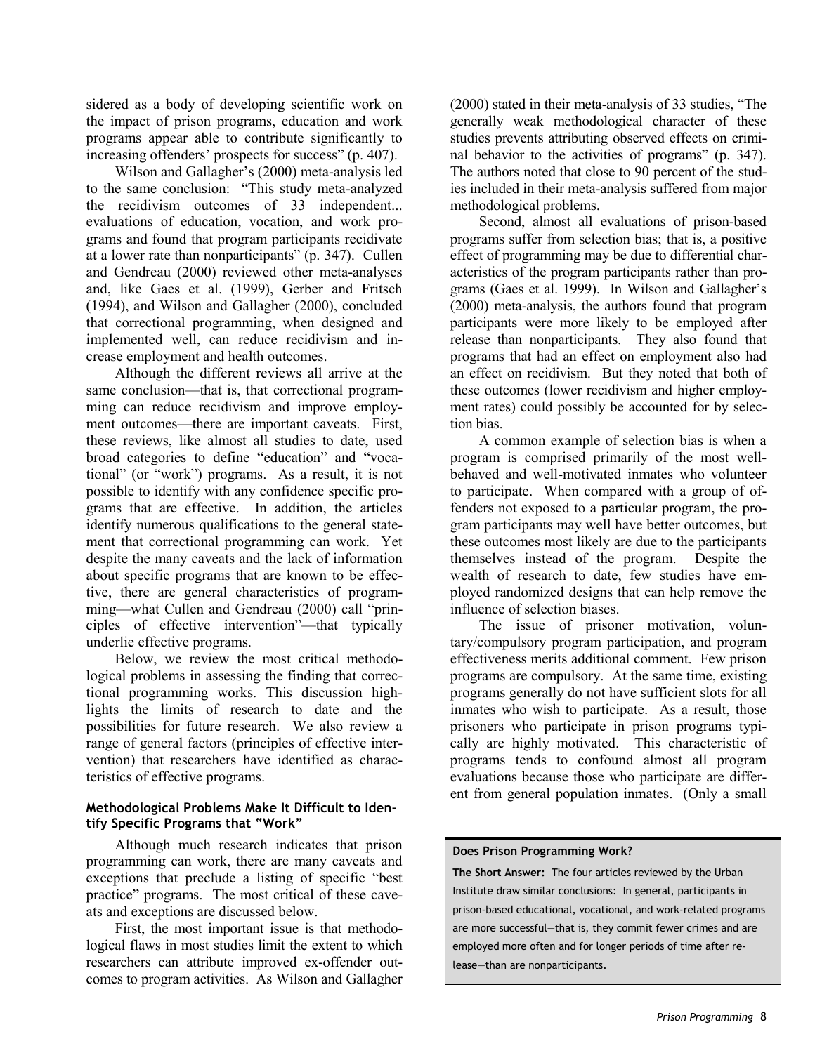sidered as a body of developing scientific work on the impact of prison programs, education and work programs appear able to contribute significantly to increasing offenders' prospects for success" (p. 407).

Wilson and Gallagher's (2000) meta-analysis led to the same conclusion: "This study meta-analyzed the recidivism outcomes of 33 independent... evaluations of education, vocation, and work programs and found that program participants recidivate at a lower rate than nonparticipants" (p. 347). Cullen and Gendreau (2000) reviewed other meta-analyses and, like Gaes et al. (1999), Gerber and Fritsch (1994), and Wilson and Gallagher (2000), concluded that correctional programming, when designed and implemented well, can reduce recidivism and increase employment and health outcomes.

Although the different reviews all arrive at the same conclusion—that is, that correctional programming can reduce recidivism and improve employment outcomes—there are important caveats. First, these reviews, like almost all studies to date, used broad categories to define "education" and "vocational" (or "work") programs. As a result, it is not possible to identify with any confidence specific programs that are effective. In addition, the articles identify numerous qualifications to the general statement that correctional programming can work. Yet despite the many caveats and the lack of information about specific programs that are known to be effective, there are general characteristics of programming—what Cullen and Gendreau (2000) call "principles of effective intervention"—that typically underlie effective programs.

Below, we review the most critical methodological problems in assessing the finding that correctional programming works. This discussion highlights the limits of research to date and the possibilities for future research. We also review a range of general factors (principles of effective intervention) that researchers have identified as characteristics of effective programs.

#### **Methodological Problems Make It Difficult to Identify Specific Programs that "Work"**

Although much research indicates that prison programming can work, there are many caveats and exceptions that preclude a listing of specific "best practice" programs. The most critical of these caveats and exceptions are discussed below.

First, the most important issue is that methodological flaws in most studies limit the extent to which researchers can attribute improved ex-offender outcomes to program activities. As Wilson and Gallagher (2000) stated in their meta-analysis of 33 studies, "The generally weak methodological character of these studies prevents attributing observed effects on criminal behavior to the activities of programs" (p. 347). The authors noted that close to 90 percent of the studies included in their meta-analysis suffered from major methodological problems.

Second, almost all evaluations of prison-based programs suffer from selection bias; that is, a positive effect of programming may be due to differential characteristics of the program participants rather than programs (Gaes et al. 1999). In Wilson and Gallagher's (2000) meta-analysis, the authors found that program participants were more likely to be employed after release than nonparticipants. They also found that programs that had an effect on employment also had an effect on recidivism. But they noted that both of these outcomes (lower recidivism and higher employment rates) could possibly be accounted for by selection bias.

A common example of selection bias is when a program is comprised primarily of the most wellbehaved and well-motivated inmates who volunteer to participate. When compared with a group of offenders not exposed to a particular program, the program participants may well have better outcomes, but these outcomes most likely are due to the participants themselves instead of the program. Despite the wealth of research to date, few studies have employed randomized designs that can help remove the influence of selection biases.

The issue of prisoner motivation, voluntary/compulsory program participation, and program effectiveness merits additional comment. Few prison programs are compulsory. At the same time, existing programs generally do not have sufficient slots for all inmates who wish to participate. As a result, those prisoners who participate in prison programs typically are highly motivated. This characteristic of programs tends to confound almost all program evaluations because those who participate are different from general population inmates. (Only a small

#### **Does Prison Programming Work?**

**The Short Answer:** The four articles reviewed by the Urban Institute draw similar conclusions: In general, participants in prison-based educational, vocational, and work-related programs are more successful—that is, they commit fewer crimes and are employed more often and for longer periods of time after release—than are nonparticipants.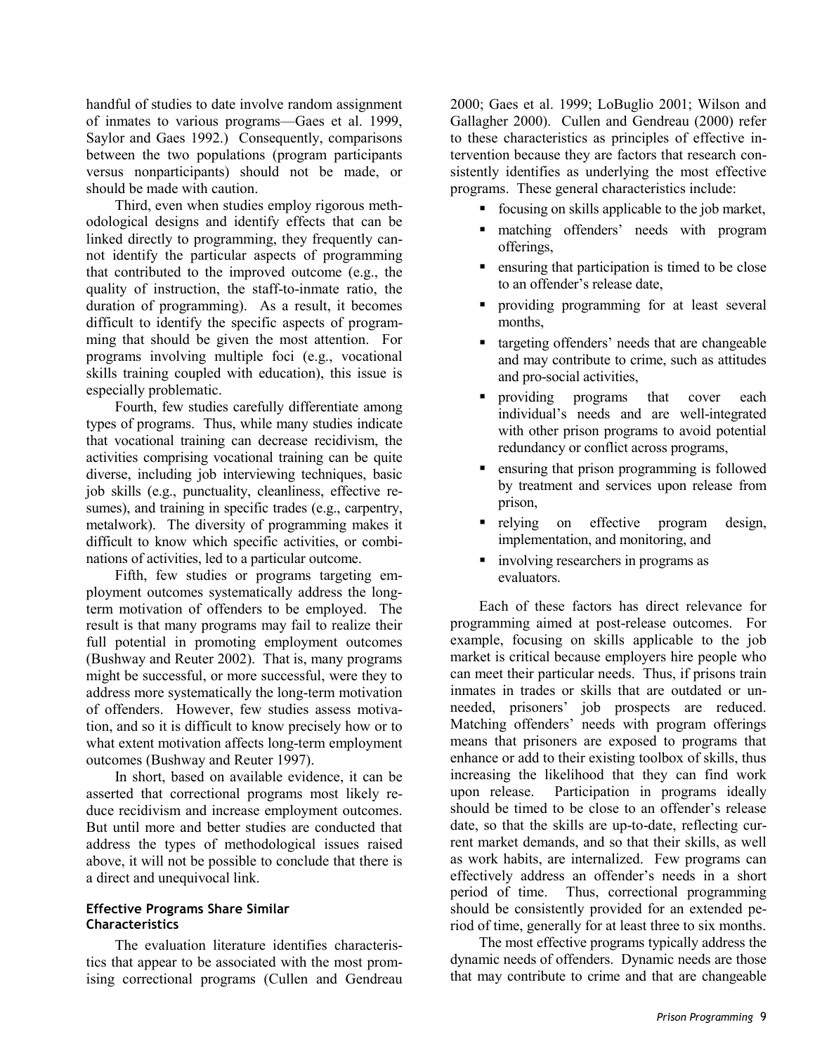handful of studies to date involve random assignment of inmates to various programs—Gaes et al. 1999, Saylor and Gaes 1992.) Consequently, comparisons between the two populations (program participants versus nonparticipants) should not be made, or should be made with caution.

Third, even when studies employ rigorous methodological designs and identify effects that can be linked directly to programming, they frequently cannot identify the particular aspects of programming that contributed to the improved outcome (e.g., the quality of instruction, the staff-to-inmate ratio, the duration of programming). As a result, it becomes difficult to identify the specific aspects of programming that should be given the most attention. For programs involving multiple foci (e.g., vocational skills training coupled with education), this issue is especially problematic.

Fourth, few studies carefully differentiate among types of programs. Thus, while many studies indicate that vocational training can decrease recidivism, the activities comprising vocational training can be quite diverse, including job interviewing techniques, basic job skills (e.g., punctuality, cleanliness, effective resumes), and training in specific trades (e.g., carpentry, metalwork). The diversity of programming makes it difficult to know which specific activities, or combinations of activities, led to a particular outcome.

Fifth, few studies or programs targeting employment outcomes systematically address the longterm motivation of offenders to be employed. The result is that many programs may fail to realize their full potential in promoting employment outcomes (Bushway and Reuter 2002). That is, many programs might be successful, or more successful, were they to address more systematically the long-term motivation of offenders. However, few studies assess motivation, and so it is difficult to know precisely how or to what extent motivation affects long-term employment outcomes (Bushway and Reuter 1997).

In short, based on available evidence, it can be asserted that correctional programs most likely reduce recidivism and increase employment outcomes. But until more and better studies are conducted that address the types of methodological issues raised above, it will not be possible to conclude that there is a direct and unequivocal link.

#### **Effective Programs Share Similar Characteristics**

The evaluation literature identifies characteristics that appear to be associated with the most promising correctional programs (Cullen and Gendreau 2000; Gaes et al. 1999; LoBuglio 2001; Wilson and Gallagher 2000). Cullen and Gendreau (2000) refer to these characteristics as principles of effective intervention because they are factors that research consistently identifies as underlying the most effective programs. These general characteristics include:

- focusing on skills applicable to the job market,
- matching offenders' needs with program offerings,
- **Exercise 1** ensuring that participation is timed to be close to an offender's release date,
- providing programming for at least several months,
- targeting offenders' needs that are changeable and may contribute to crime, such as attitudes and pro-social activities,
- **providing** programs that cover each individual's needs and are well-integrated with other prison programs to avoid potential redundancy or conflict across programs,
- **Exercise 1** ensuring that prison programming is followed by treatment and services upon release from prison,
- relying on effective program design, implementation, and monitoring, and
- involving researchers in programs as evaluators.

Each of these factors has direct relevance for programming aimed at post-release outcomes. For example, focusing on skills applicable to the job market is critical because employers hire people who can meet their particular needs. Thus, if prisons train inmates in trades or skills that are outdated or unneeded, prisoners' job prospects are reduced. Matching offenders' needs with program offerings means that prisoners are exposed to programs that enhance or add to their existing toolbox of skills, thus increasing the likelihood that they can find work upon release. Participation in programs ideally should be timed to be close to an offender's release date, so that the skills are up-to-date, reflecting current market demands, and so that their skills, as well as work habits, are internalized. Few programs can effectively address an offender's needs in a short period of time. Thus, correctional programming should be consistently provided for an extended period of time, generally for at least three to six months.

The most effective programs typically address the dynamic needs of offenders. Dynamic needs are those that may contribute to crime and that are changeable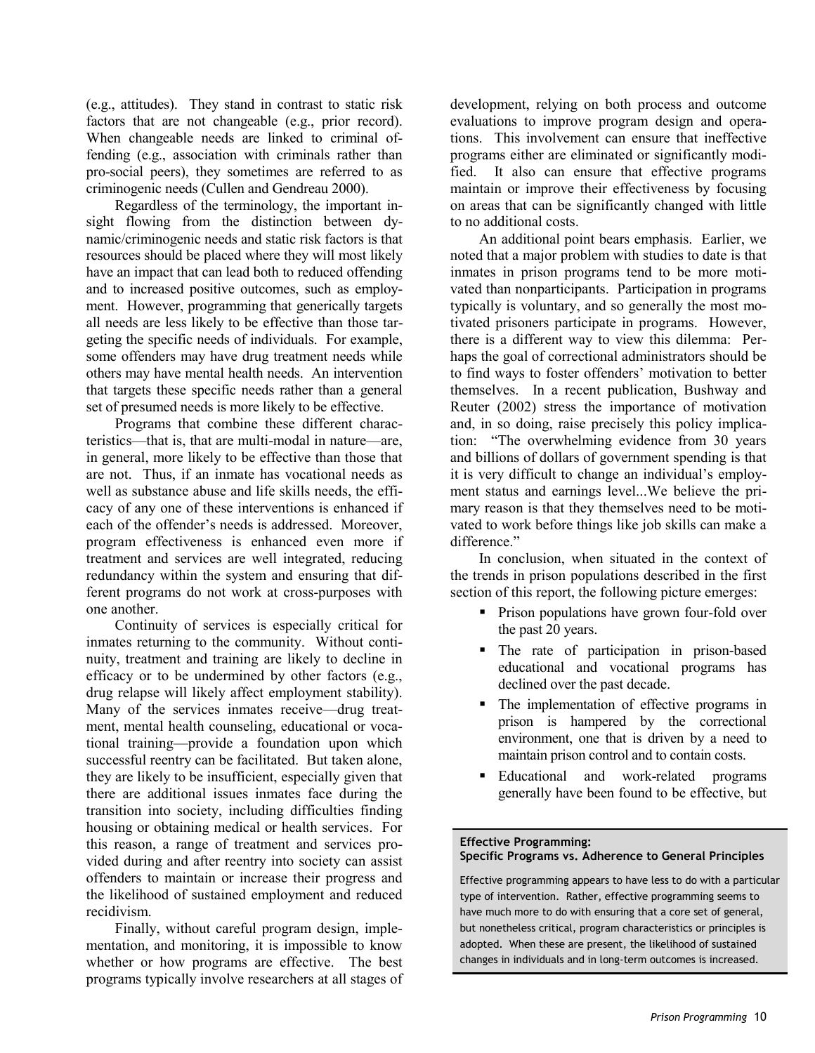(e.g., attitudes). They stand in contrast to static risk factors that are not changeable (e.g., prior record). When changeable needs are linked to criminal offending (e.g., association with criminals rather than pro-social peers), they sometimes are referred to as criminogenic needs (Cullen and Gendreau 2000).

Regardless of the terminology, the important insight flowing from the distinction between dynamic/criminogenic needs and static risk factors is that resources should be placed where they will most likely have an impact that can lead both to reduced offending and to increased positive outcomes, such as employment. However, programming that generically targets all needs are less likely to be effective than those targeting the specific needs of individuals. For example, some offenders may have drug treatment needs while others may have mental health needs. An intervention that targets these specific needs rather than a general set of presumed needs is more likely to be effective.

Programs that combine these different characteristics—that is, that are multi-modal in nature—are, in general, more likely to be effective than those that are not. Thus, if an inmate has vocational needs as well as substance abuse and life skills needs, the efficacy of any one of these interventions is enhanced if each of the offender's needs is addressed. Moreover, program effectiveness is enhanced even more if treatment and services are well integrated, reducing redundancy within the system and ensuring that different programs do not work at cross-purposes with one another.

Continuity of services is especially critical for inmates returning to the community. Without continuity, treatment and training are likely to decline in efficacy or to be undermined by other factors (e.g., drug relapse will likely affect employment stability). Many of the services inmates receive—drug treatment, mental health counseling, educational or vocational training—provide a foundation upon which successful reentry can be facilitated. But taken alone, they are likely to be insufficient, especially given that there are additional issues inmates face during the transition into society, including difficulties finding housing or obtaining medical or health services. For this reason, a range of treatment and services provided during and after reentry into society can assist offenders to maintain or increase their progress and the likelihood of sustained employment and reduced recidivism.

Finally, without careful program design, implementation, and monitoring, it is impossible to know whether or how programs are effective. The best programs typically involve researchers at all stages of

development, relying on both process and outcome evaluations to improve program design and operations. This involvement can ensure that ineffective programs either are eliminated or significantly modified. It also can ensure that effective programs maintain or improve their effectiveness by focusing on areas that can be significantly changed with little to no additional costs.

An additional point bears emphasis. Earlier, we noted that a major problem with studies to date is that inmates in prison programs tend to be more motivated than nonparticipants. Participation in programs typically is voluntary, and so generally the most motivated prisoners participate in programs. However, there is a different way to view this dilemma: Perhaps the goal of correctional administrators should be to find ways to foster offenders' motivation to better themselves. In a recent publication, Bushway and Reuter (2002) stress the importance of motivation and, in so doing, raise precisely this policy implication: "The overwhelming evidence from 30 years and billions of dollars of government spending is that it is very difficult to change an individual's employment status and earnings level...We believe the primary reason is that they themselves need to be motivated to work before things like job skills can make a difference"

In conclusion, when situated in the context of the trends in prison populations described in the first section of this report, the following picture emerges:

- Prison populations have grown four-fold over the past 20 years.
- The rate of participation in prison-based educational and vocational programs has declined over the past decade.
- The implementation of effective programs in prison is hampered by the correctional environment, one that is driven by a need to maintain prison control and to contain costs.
- Educational and work-related programs generally have been found to be effective, but

# **Effective Programming:**

# **Specific Programs vs. Adherence to General Principles**

Effective programming appears to have less to do with a particular type of intervention. Rather, effective programming seems to have much more to do with ensuring that a core set of general, but nonetheless critical, program characteristics or principles is adopted. When these are present, the likelihood of sustained changes in individuals and in long-term outcomes is increased.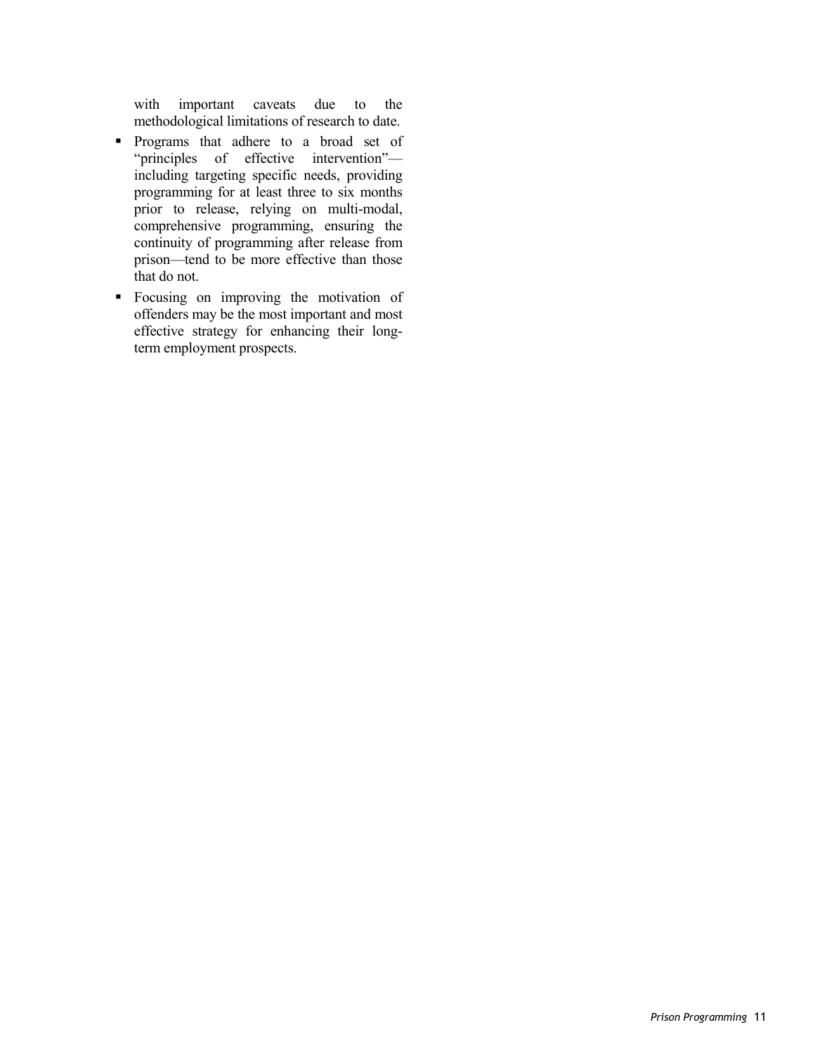with important caveats due to the methodological limitations of research to date.

- Programs that adhere to a broad set of "principles of effective intervention" including targeting specific needs, providing programming for at least three to six months prior to release, relying on multi-modal, comprehensive programming, ensuring the continuity of programming after release from prison—tend to be more effective than those that do not.
- Focusing on improving the motivation of offenders may be the most important and most effective strategy for enhancing their longterm employment prospects.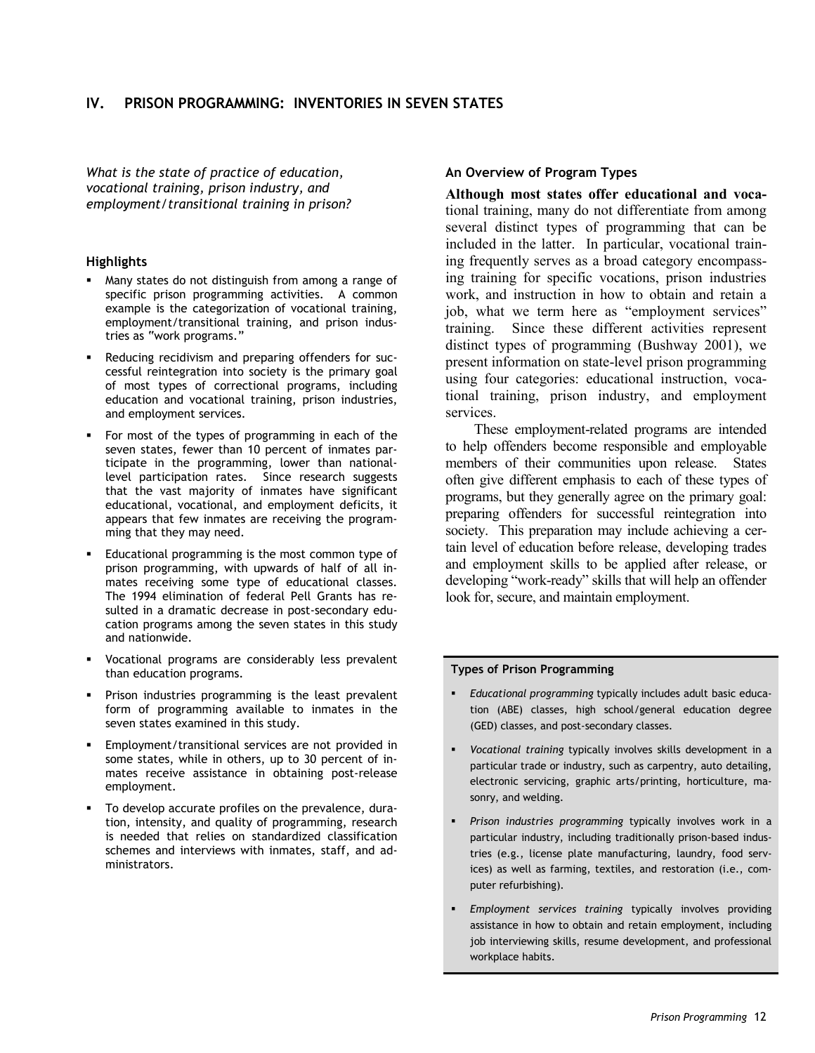*What is the state of practice of education, vocational training, prison industry, and employment/transitional training in prison?*

#### **Highlights**

- Many states do not distinguish from among a range of specific prison programming activities. A common example is the categorization of vocational training, employment/transitional training, and prison industries as "work programs."
- Reducing recidivism and preparing offenders for successful reintegration into society is the primary goal of most types of correctional programs, including education and vocational training, prison industries, and employment services.
- For most of the types of programming in each of the seven states, fewer than 10 percent of inmates participate in the programming, lower than nationallevel participation rates. Since research suggests that the vast majority of inmates have significant educational, vocational, and employment deficits, it appears that few inmates are receiving the programming that they may need.
- Educational programming is the most common type of prison programming, with upwards of half of all inmates receiving some type of educational classes. The 1994 elimination of federal Pell Grants has resulted in a dramatic decrease in post-secondary education programs among the seven states in this study and nationwide.
- Vocational programs are considerably less prevalent than education programs.
- Prison industries programming is the least prevalent form of programming available to inmates in the seven states examined in this study.
- Employment/transitional services are not provided in some states, while in others, up to 30 percent of inmates receive assistance in obtaining post-release employment.
- To develop accurate profiles on the prevalence, duration, intensity, and quality of programming, research is needed that relies on standardized classification schemes and interviews with inmates, staff, and administrators.

#### **An Overview of Program Types**

**Although most states offer educational and voca**tional training, many do not differentiate from among several distinct types of programming that can be included in the latter. In particular, vocational training frequently serves as a broad category encompassing training for specific vocations, prison industries work, and instruction in how to obtain and retain a job, what we term here as "employment services" training. Since these different activities represent distinct types of programming (Bushway 2001), we present information on state-level prison programming using four categories: educational instruction, vocational training, prison industry, and employment services.

These employment-related programs are intended to help offenders become responsible and employable members of their communities upon release. States often give different emphasis to each of these types of programs, but they generally agree on the primary goal: preparing offenders for successful reintegration into society. This preparation may include achieving a certain level of education before release, developing trades and employment skills to be applied after release, or developing "work-ready" skills that will help an offender look for, secure, and maintain employment.

#### **Types of Prison Programming**

- *Educational programming* typically includes adult basic education (ABE) classes, high school/general education degree (GED) classes, and post-secondary classes.
- *Vocational training* typically involves skills development in a particular trade or industry, such as carpentry, auto detailing, electronic servicing, graphic arts/printing, horticulture, masonry, and welding.
- *Prison industries programming* typically involves work in a particular industry, including traditionally prison-based industries (e.g., license plate manufacturing, laundry, food services) as well as farming, textiles, and restoration (i.e., computer refurbishing).
- *Employment services training* typically involves providing assistance in how to obtain and retain employment, including job interviewing skills, resume development, and professional workplace habits.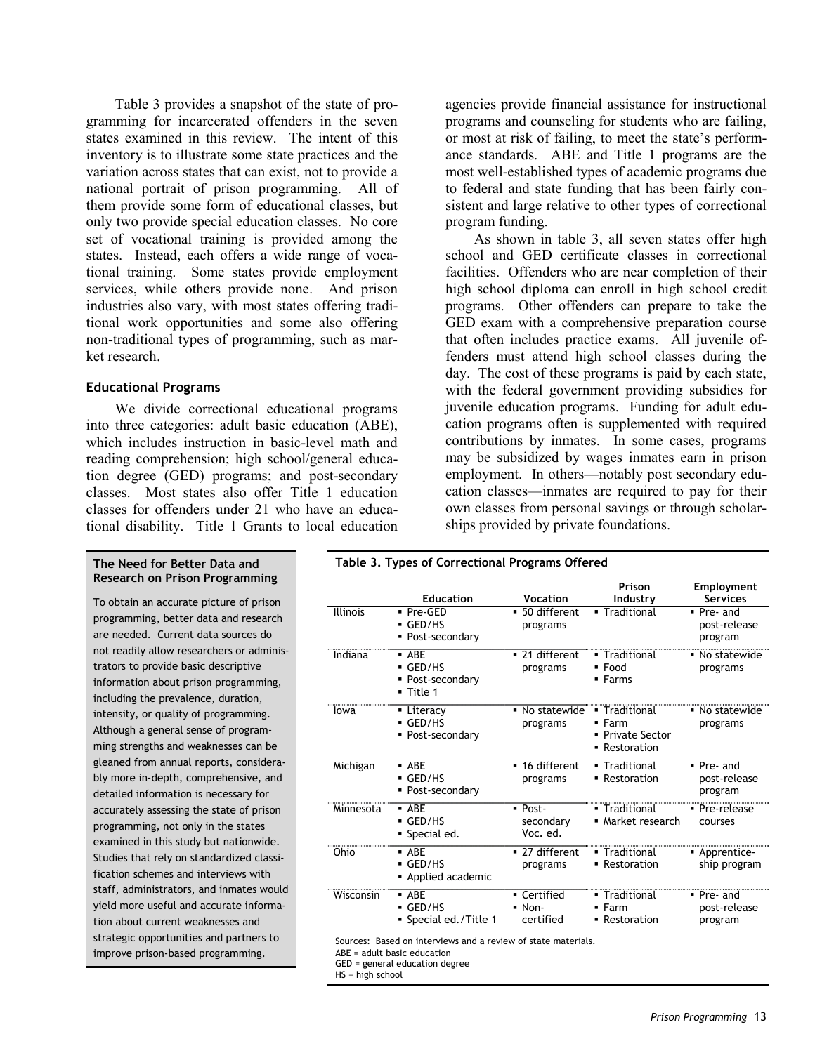Table 3 provides a snapshot of the state of programming for incarcerated offenders in the seven states examined in this review. The intent of this inventory is to illustrate some state practices and the variation across states that can exist, not to provide a national portrait of prison programming. All of them provide some form of educational classes, but only two provide special education classes. No core set of vocational training is provided among the states. Instead, each offers a wide range of vocational training. Some states provide employment services, while others provide none. And prison industries also vary, with most states offering traditional work opportunities and some also offering non-traditional types of programming, such as market research.

#### **Educational Programs**

We divide correctional educational programs into three categories: adult basic education (ABE), which includes instruction in basic-level math and reading comprehension; high school/general education degree (GED) programs; and post-secondary classes. Most states also offer Title 1 education classes for offenders under 21 who have an educational disability. Title 1 Grants to local education

#### **The Need for Better Data and Research on Prison Programming**

To obtain an accurate picture of prison programming, better data and research are needed. Current data sources do not readily allow researchers or administrators to provide basic descriptive information about prison programming, including the prevalence, duration, intensity, or quality of programming. Although a general sense of programming strengths and weaknesses can be gleaned from annual reports, considerably more in-depth, comprehensive, and detailed information is necessary for accurately assessing the state of prison programming, not only in the states examined in this study but nationwide. Studies that rely on standardized classification schemes and interviews with staff, administrators, and inmates would yield more useful and accurate information about current weaknesses and strategic opportunities and partners to improve prison-based programming.

agencies provide financial assistance for instructional programs and counseling for students who are failing, or most at risk of failing, to meet the state's performance standards. ABE and Title 1 programs are the most well-established types of academic programs due to federal and state funding that has been fairly consistent and large relative to other types of correctional program funding.

As shown in table 3, all seven states offer high school and GED certificate classes in correctional facilities. Offenders who are near completion of their high school diploma can enroll in high school credit programs. Other offenders can prepare to take the GED exam with a comprehensive preparation course that often includes practice exams. All juvenile offenders must attend high school classes during the day. The cost of these programs is paid by each state, with the federal government providing subsidies for juvenile education programs. Funding for adult education programs often is supplemented with required contributions by inmates. In some cases, programs may be subsidized by wages inmates earn in prison employment. In others—notably post secondary education classes—inmates are required to pay for their own classes from personal savings or through scholarships provided by private foundations.

#### **Table 3. Types of Correctional Programs Offered**

|                 | <b>Education</b>                                                                       | Vocation                                        | Prison<br>Industry                                             | Employment<br><b>Services</b>           |
|-----------------|----------------------------------------------------------------------------------------|-------------------------------------------------|----------------------------------------------------------------|-----------------------------------------|
| <b>Illinois</b> | • Pre-GED<br>$-$ GED/HS<br>• Post-secondary                                            | • 50 different<br>programs                      | • Traditional                                                  | ■ Pre- and<br>post-release<br>program   |
| Indiana         | $-$ ABE<br>$\overline{\phantom{a}}$ GED/HS<br>Post-secondary<br>$\blacksquare$ Title 1 | ■ 21 different<br>programs                      | • Traditional<br>$\blacksquare$ Food<br>• Farms                | • No statewide<br>programs              |
| Iowa            | • Literacy<br>$-$ GED/HS<br>• Post-secondary                                           | • No statewide<br>programs                      | • Traditional<br>$-$ Farm<br>• Private Sector<br>• Restoration | $\blacksquare$ No statewide<br>programs |
| Michigan        | $-$ ABE<br>GED/HS<br>• Post-secondary                                                  | ■ 16 different<br>programs                      | • Traditional<br>• Restoration                                 | ■ Pre- and<br>post-release<br>program   |
| Minnesota       | $-$ ABE<br>$-$ GFD/HS<br>Special ed.                                                   | $\blacksquare$ Post-<br>secondary<br>Voc. ed.   | • Traditional<br>• Market research                             | ■ Pre-release<br>courses                |
| Ohio            | $-$ ARF<br>$-$ GED/HS<br>Applied academic                                              | ■ 27 different<br>programs                      | • Traditional<br>• Restoration                                 | Apprentice-<br>ship program             |
| Wisconsin       | $-$ ABE<br>$-$ GED/HS<br>Special ed./Title 1                                           | • Certified<br>$\blacksquare$ Non-<br>certified | • Traditional<br>$- Farm$<br>• Restoration                     | ■ Pre- and<br>post-release<br>program   |

Sources: Based on interviews and a review of state materials.

GED = general education degree

HS = high school

ABE = adult basic education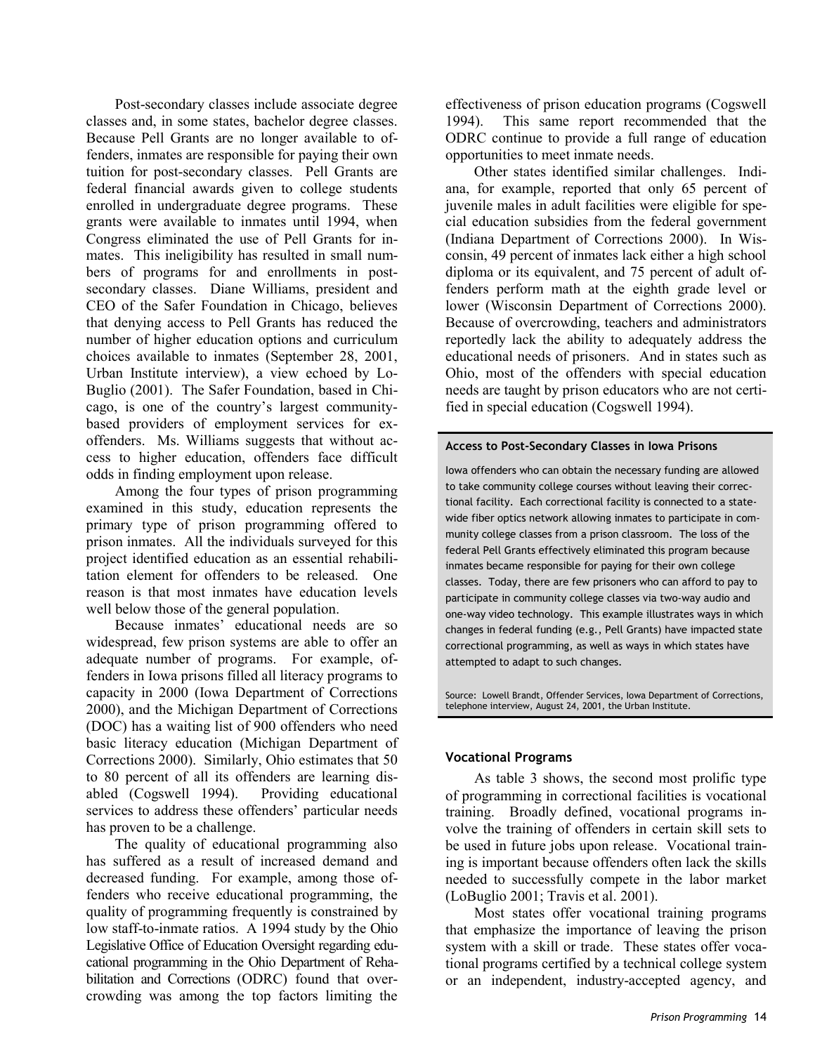Post-secondary classes include associate degree classes and, in some states, bachelor degree classes. Because Pell Grants are no longer available to offenders, inmates are responsible for paying their own tuition for post-secondary classes. Pell Grants are federal financial awards given to college students enrolled in undergraduate degree programs. These grants were available to inmates until 1994, when Congress eliminated the use of Pell Grants for inmates. This ineligibility has resulted in small numbers of programs for and enrollments in postsecondary classes. Diane Williams, president and CEO of the Safer Foundation in Chicago, believes that denying access to Pell Grants has reduced the number of higher education options and curriculum choices available to inmates (September 28, 2001, Urban Institute interview), a view echoed by Lo-Buglio (2001). The Safer Foundation, based in Chicago, is one of the country's largest communitybased providers of employment services for exoffenders. Ms. Williams suggests that without access to higher education, offenders face difficult odds in finding employment upon release.

Among the four types of prison programming examined in this study, education represents the primary type of prison programming offered to prison inmates. All the individuals surveyed for this project identified education as an essential rehabilitation element for offenders to be released. One reason is that most inmates have education levels well below those of the general population.

Because inmates' educational needs are so widespread, few prison systems are able to offer an adequate number of programs. For example, offenders in Iowa prisons filled all literacy programs to capacity in 2000 (Iowa Department of Corrections 2000), and the Michigan Department of Corrections (DOC) has a waiting list of 900 offenders who need basic literacy education (Michigan Department of Corrections 2000). Similarly, Ohio estimates that 50 to 80 percent of all its offenders are learning disabled (Cogswell 1994). Providing educational services to address these offenders' particular needs has proven to be a challenge.

The quality of educational programming also has suffered as a result of increased demand and decreased funding. For example, among those offenders who receive educational programming, the quality of programming frequently is constrained by low staff-to-inmate ratios. A 1994 study by the Ohio Legislative Office of Education Oversight regarding educational programming in the Ohio Department of Rehabilitation and Corrections (ODRC) found that overcrowding was among the top factors limiting the

effectiveness of prison education programs (Cogswell 1994). This same report recommended that the ODRC continue to provide a full range of education opportunities to meet inmate needs.

Other states identified similar challenges. Indiana, for example, reported that only 65 percent of juvenile males in adult facilities were eligible for special education subsidies from the federal government (Indiana Department of Corrections 2000). In Wisconsin, 49 percent of inmates lack either a high school diploma or its equivalent, and 75 percent of adult offenders perform math at the eighth grade level or lower (Wisconsin Department of Corrections 2000). Because of overcrowding, teachers and administrators reportedly lack the ability to adequately address the educational needs of prisoners. And in states such as Ohio, most of the offenders with special education needs are taught by prison educators who are not certified in special education (Cogswell 1994).

#### **Access to Post-Secondary Classes in Iowa Prisons**

Iowa offenders who can obtain the necessary funding are allowed to take community college courses without leaving their correctional facility. Each correctional facility is connected to a statewide fiber optics network allowing inmates to participate in community college classes from a prison classroom. The loss of the federal Pell Grants effectively eliminated this program because inmates became responsible for paying for their own college classes. Today, there are few prisoners who can afford to pay to participate in community college classes via two-way audio and one-way video technology. This example illustrates ways in which changes in federal funding (e.g., Pell Grants) have impacted state correctional programming, as well as ways in which states have attempted to adapt to such changes.

Source: Lowell Brandt, Offender Services, Iowa Department of Corrections, telephone interview, August 24, 2001, the Urban Institute.

## **Vocational Programs**

As table 3 shows, the second most prolific type of programming in correctional facilities is vocational training. Broadly defined, vocational programs involve the training of offenders in certain skill sets to be used in future jobs upon release. Vocational training is important because offenders often lack the skills needed to successfully compete in the labor market (LoBuglio 2001; Travis et al. 2001).

Most states offer vocational training programs that emphasize the importance of leaving the prison system with a skill or trade. These states offer vocational programs certified by a technical college system or an independent, industry-accepted agency, and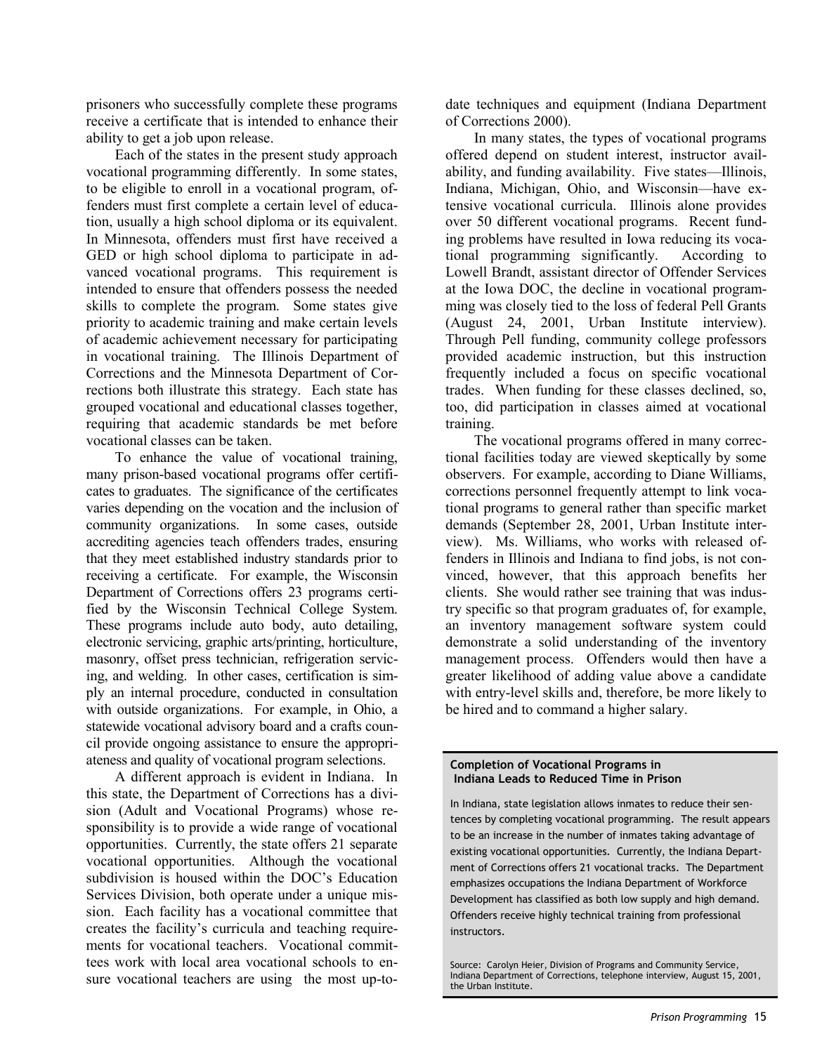prisoners who successfully complete these programs receive a certificate that is intended to enhance their ability to get a job upon release.

Each of the states in the present study approach vocational programming differently. In some states, to be eligible to enroll in a vocational program, offenders must first complete a certain level of education, usually a high school diploma or its equivalent. In Minnesota, offenders must first have received a GED or high school diploma to participate in advanced vocational programs. This requirement is intended to ensure that offenders possess the needed skills to complete the program. Some states give priority to academic training and make certain levels of academic achievement necessary for participating in vocational training. The Illinois Department of Corrections and the Minnesota Department of Corrections both illustrate this strategy. Each state has grouped vocational and educational classes together, requiring that academic standards be met before vocational classes can be taken.

To enhance the value of vocational training, many prison-based vocational programs offer certificates to graduates. The significance of the certificates varies depending on the vocation and the inclusion of community organizations. In some cases, outside accrediting agencies teach offenders trades, ensuring that they meet established industry standards prior to receiving a certificate. For example, the Wisconsin Department of Corrections offers 23 programs certified by the Wisconsin Technical College System. These programs include auto body, auto detailing, electronic servicing, graphic arts/printing, horticulture, masonry, offset press technician, refrigeration servicing, and welding. In other cases, certification is simply an internal procedure, conducted in consultation with outside organizations. For example, in Ohio, a statewide vocational advisory board and a crafts council provide ongoing assistance to ensure the appropriateness and quality of vocational program selections.

A different approach is evident in Indiana. In this state, the Department of Corrections has a division (Adult and Vocational Programs) whose responsibility is to provide a wide range of vocational opportunities. Currently, the state offers 21 separate vocational opportunities. Although the vocational subdivision is housed within the DOC's Education Services Division, both operate under a unique mission. Each facility has a vocational committee that creates the facility's curricula and teaching requirements for vocational teachers. Vocational committees work with local area vocational schools to ensure vocational teachers are using the most up-todate techniques and equipment (Indiana Department of Corrections 2000).

In many states, the types of vocational programs offered depend on student interest, instructor availability, and funding availability. Five states—Illinois, Indiana, Michigan, Ohio, and Wisconsin—have extensive vocational curricula. Illinois alone provides over 50 different vocational programs. Recent funding problems have resulted in Iowa reducing its vocational programming significantly. According to Lowell Brandt, assistant director of Offender Services at the Iowa DOC, the decline in vocational programming was closely tied to the loss of federal Pell Grants (August 24, 2001, Urban Institute interview). Through Pell funding, community college professors provided academic instruction, but this instruction frequently included a focus on specific vocational trades. When funding for these classes declined, so, too, did participation in classes aimed at vocational training.

The vocational programs offered in many correctional facilities today are viewed skeptically by some observers. For example, according to Diane Williams, corrections personnel frequently attempt to link vocational programs to general rather than specific market demands (September 28, 2001, Urban Institute interview). Ms. Williams, who works with released offenders in Illinois and Indiana to find jobs, is not convinced, however, that this approach benefits her clients. She would rather see training that was industry specific so that program graduates of, for example, an inventory management software system could demonstrate a solid understanding of the inventory management process. Offenders would then have a greater likelihood of adding value above a candidate with entry-level skills and, therefore, be more likely to be hired and to command a higher salary.

**Completion of Vocational Programs in Indiana Leads to Reduced Time in Prison**

In Indiana, state legislation allows inmates to reduce their sentences by completing vocational programming. The result appears to be an increase in the number of inmates taking advantage of existing vocational opportunities. Currently, the Indiana Department of Corrections offers 21 vocational tracks. The Department emphasizes occupations the Indiana Department of Workforce Development has classified as both low supply and high demand. Offenders receive highly technical training from professional instructors.

Source: Carolyn Heier, Division of Programs and Community Service, Indiana Department of Corrections, telephone interview, August 15, 2001, the Urban Institute.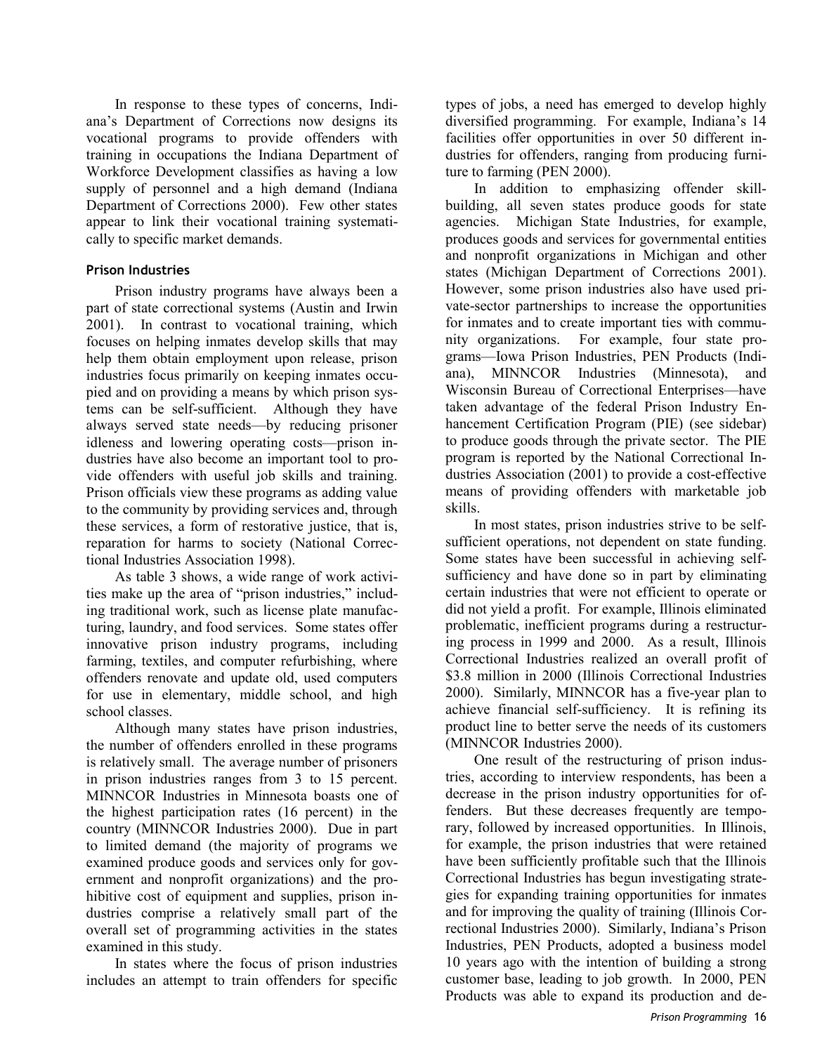In response to these types of concerns, Indiana's Department of Corrections now designs its vocational programs to provide offenders with training in occupations the Indiana Department of Workforce Development classifies as having a low supply of personnel and a high demand (Indiana Department of Corrections 2000). Few other states appear to link their vocational training systematically to specific market demands.

# **Prison Industries**

Prison industry programs have always been a part of state correctional systems (Austin and Irwin 2001). In contrast to vocational training, which focuses on helping inmates develop skills that may help them obtain employment upon release, prison industries focus primarily on keeping inmates occupied and on providing a means by which prison systems can be self-sufficient. Although they have always served state needs—by reducing prisoner idleness and lowering operating costs—prison industries have also become an important tool to provide offenders with useful job skills and training. Prison officials view these programs as adding value to the community by providing services and, through these services, a form of restorative justice, that is, reparation for harms to society (National Correctional Industries Association 1998).

As table 3 shows, a wide range of work activities make up the area of "prison industries," including traditional work, such as license plate manufacturing, laundry, and food services. Some states offer innovative prison industry programs, including farming, textiles, and computer refurbishing, where offenders renovate and update old, used computers for use in elementary, middle school, and high school classes.

Although many states have prison industries, the number of offenders enrolled in these programs is relatively small. The average number of prisoners in prison industries ranges from 3 to 15 percent. MINNCOR Industries in Minnesota boasts one of the highest participation rates (16 percent) in the country (MINNCOR Industries 2000). Due in part to limited demand (the majority of programs we examined produce goods and services only for government and nonprofit organizations) and the prohibitive cost of equipment and supplies, prison industries comprise a relatively small part of the overall set of programming activities in the states examined in this study.

In states where the focus of prison industries includes an attempt to train offenders for specific types of jobs, a need has emerged to develop highly diversified programming. For example, Indiana's 14 facilities offer opportunities in over 50 different industries for offenders, ranging from producing furniture to farming (PEN 2000).

In addition to emphasizing offender skillbuilding, all seven states produce goods for state agencies. Michigan State Industries, for example, produces goods and services for governmental entities and nonprofit organizations in Michigan and other states (Michigan Department of Corrections 2001). However, some prison industries also have used private-sector partnerships to increase the opportunities for inmates and to create important ties with community organizations. For example, four state programs—Iowa Prison Industries, PEN Products (Indiana), MINNCOR Industries (Minnesota), and Wisconsin Bureau of Correctional Enterprises—have taken advantage of the federal Prison Industry Enhancement Certification Program (PIE) (see sidebar) to produce goods through the private sector. The PIE program is reported by the National Correctional Industries Association (2001) to provide a cost-effective means of providing offenders with marketable job skills.

In most states, prison industries strive to be selfsufficient operations, not dependent on state funding. Some states have been successful in achieving selfsufficiency and have done so in part by eliminating certain industries that were not efficient to operate or did not yield a profit. For example, Illinois eliminated problematic, inefficient programs during a restructuring process in 1999 and 2000. As a result, Illinois Correctional Industries realized an overall profit of \$3.8 million in 2000 (Illinois Correctional Industries 2000). Similarly, MINNCOR has a five-year plan to achieve financial self-sufficiency. It is refining its product line to better serve the needs of its customers (MINNCOR Industries 2000).

One result of the restructuring of prison industries, according to interview respondents, has been a decrease in the prison industry opportunities for offenders. But these decreases frequently are temporary, followed by increased opportunities. In Illinois, for example, the prison industries that were retained have been sufficiently profitable such that the Illinois Correctional Industries has begun investigating strategies for expanding training opportunities for inmates and for improving the quality of training (Illinois Correctional Industries 2000). Similarly, Indiana's Prison Industries, PEN Products, adopted a business model 10 years ago with the intention of building a strong customer base, leading to job growth. In 2000, PEN Products was able to expand its production and de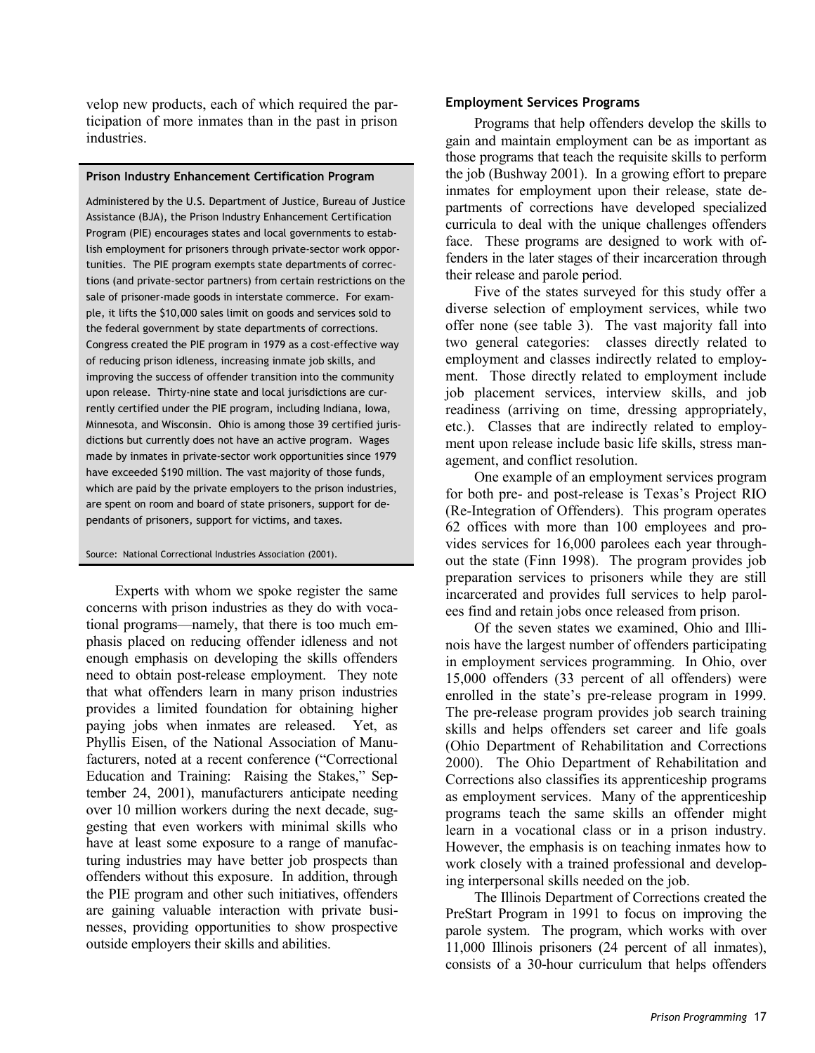velop new products, each of which required the participation of more inmates than in the past in prison industries.

#### **Prison Industry Enhancement Certification Program**

Administered by the U.S. Department of Justice, Bureau of Justice Assistance (BJA), the Prison Industry Enhancement Certification Program (PIE) encourages states and local governments to establish employment for prisoners through private-sector work opportunities. The PIE program exempts state departments of corrections (and private-sector partners) from certain restrictions on the sale of prisoner-made goods in interstate commerce. For example, it lifts the \$10,000 sales limit on goods and services sold to the federal government by state departments of corrections. Congress created the PIE program in 1979 as a cost-effective way of reducing prison idleness, increasing inmate job skills, and improving the success of offender transition into the community upon release. Thirty-nine state and local jurisdictions are currently certified under the PIE program, including Indiana, Iowa, Minnesota, and Wisconsin. Ohio is among those 39 certified jurisdictions but currently does not have an active program. Wages made by inmates in private-sector work opportunities since 1979 have exceeded \$190 million. The vast majority of those funds, which are paid by the private employers to the prison industries, are spent on room and board of state prisoners, support for dependants of prisoners, support for victims, and taxes.

Source: National Correctional Industries Association (2001).

Experts with whom we spoke register the same concerns with prison industries as they do with vocational programs—namely, that there is too much emphasis placed on reducing offender idleness and not enough emphasis on developing the skills offenders need to obtain post-release employment. They note that what offenders learn in many prison industries provides a limited foundation for obtaining higher paying jobs when inmates are released. Yet, as Phyllis Eisen, of the National Association of Manufacturers, noted at a recent conference ("Correctional Education and Training: Raising the Stakes," September 24, 2001), manufacturers anticipate needing over 10 million workers during the next decade, suggesting that even workers with minimal skills who have at least some exposure to a range of manufacturing industries may have better job prospects than offenders without this exposure. In addition, through the PIE program and other such initiatives, offenders are gaining valuable interaction with private businesses, providing opportunities to show prospective outside employers their skills and abilities.

#### **Employment Services Programs**

Programs that help offenders develop the skills to gain and maintain employment can be as important as those programs that teach the requisite skills to perform the job (Bushway 2001). In a growing effort to prepare inmates for employment upon their release, state departments of corrections have developed specialized curricula to deal with the unique challenges offenders face. These programs are designed to work with offenders in the later stages of their incarceration through their release and parole period.

Five of the states surveyed for this study offer a diverse selection of employment services, while two offer none (see table 3). The vast majority fall into two general categories: classes directly related to employment and classes indirectly related to employment. Those directly related to employment include job placement services, interview skills, and job readiness (arriving on time, dressing appropriately, etc.). Classes that are indirectly related to employment upon release include basic life skills, stress management, and conflict resolution.

One example of an employment services program for both pre- and post-release is Texas's Project RIO (Re-Integration of Offenders). This program operates 62 offices with more than 100 employees and provides services for 16,000 parolees each year throughout the state (Finn 1998). The program provides job preparation services to prisoners while they are still incarcerated and provides full services to help parolees find and retain jobs once released from prison.

Of the seven states we examined, Ohio and Illinois have the largest number of offenders participating in employment services programming. In Ohio, over 15,000 offenders (33 percent of all offenders) were enrolled in the state's pre-release program in 1999. The pre-release program provides job search training skills and helps offenders set career and life goals (Ohio Department of Rehabilitation and Corrections 2000). The Ohio Department of Rehabilitation and Corrections also classifies its apprenticeship programs as employment services. Many of the apprenticeship programs teach the same skills an offender might learn in a vocational class or in a prison industry. However, the emphasis is on teaching inmates how to work closely with a trained professional and developing interpersonal skills needed on the job.

The Illinois Department of Corrections created the PreStart Program in 1991 to focus on improving the parole system. The program, which works with over 11,000 Illinois prisoners (24 percent of all inmates), consists of a 30-hour curriculum that helps offenders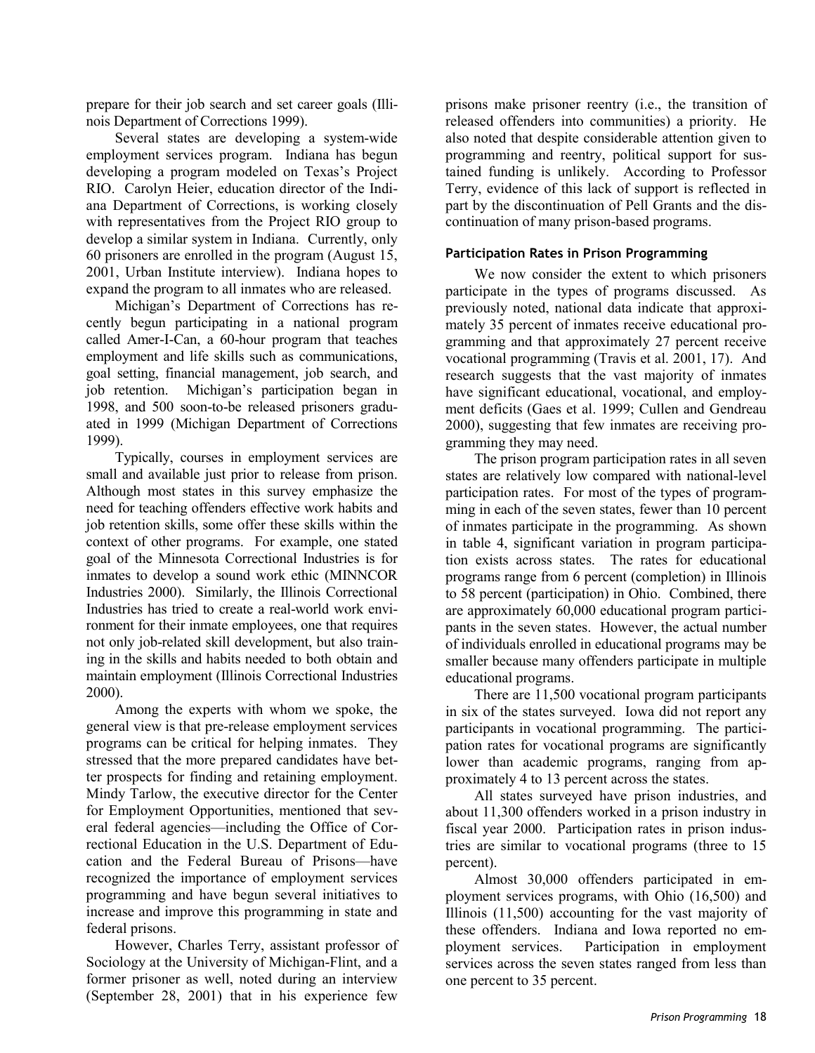prepare for their job search and set career goals (Illinois Department of Corrections 1999).

Several states are developing a system-wide employment services program. Indiana has begun developing a program modeled on Texas's Project RIO. Carolyn Heier, education director of the Indiana Department of Corrections, is working closely with representatives from the Project RIO group to develop a similar system in Indiana. Currently, only 60 prisoners are enrolled in the program (August 15, 2001, Urban Institute interview). Indiana hopes to expand the program to all inmates who are released.

Michigan's Department of Corrections has recently begun participating in a national program called Amer-I-Can, a 60-hour program that teaches employment and life skills such as communications, goal setting, financial management, job search, and job retention. Michigan's participation began in 1998, and 500 soon-to-be released prisoners graduated in 1999 (Michigan Department of Corrections 1999).

Typically, courses in employment services are small and available just prior to release from prison. Although most states in this survey emphasize the need for teaching offenders effective work habits and job retention skills, some offer these skills within the context of other programs. For example, one stated goal of the Minnesota Correctional Industries is for inmates to develop a sound work ethic (MINNCOR Industries 2000). Similarly, the Illinois Correctional Industries has tried to create a real-world work environment for their inmate employees, one that requires not only job-related skill development, but also training in the skills and habits needed to both obtain and maintain employment (Illinois Correctional Industries 2000).

Among the experts with whom we spoke, the general view is that pre-release employment services programs can be critical for helping inmates. They stressed that the more prepared candidates have better prospects for finding and retaining employment. Mindy Tarlow, the executive director for the Center for Employment Opportunities, mentioned that several federal agencies—including the Office of Correctional Education in the U.S. Department of Education and the Federal Bureau of Prisons—have recognized the importance of employment services programming and have begun several initiatives to increase and improve this programming in state and federal prisons.

However, Charles Terry, assistant professor of Sociology at the University of Michigan-Flint, and a former prisoner as well, noted during an interview (September 28, 2001) that in his experience few

prisons make prisoner reentry (i.e., the transition of released offenders into communities) a priority. He also noted that despite considerable attention given to programming and reentry, political support for sustained funding is unlikely. According to Professor Terry, evidence of this lack of support is reflected in part by the discontinuation of Pell Grants and the discontinuation of many prison-based programs.

# **Participation Rates in Prison Programming**

We now consider the extent to which prisoners participate in the types of programs discussed. As previously noted, national data indicate that approximately 35 percent of inmates receive educational programming and that approximately 27 percent receive vocational programming (Travis et al. 2001, 17). And research suggests that the vast majority of inmates have significant educational, vocational, and employment deficits (Gaes et al. 1999; Cullen and Gendreau 2000), suggesting that few inmates are receiving programming they may need.

The prison program participation rates in all seven states are relatively low compared with national-level participation rates. For most of the types of programming in each of the seven states, fewer than 10 percent of inmates participate in the programming. As shown in table 4, significant variation in program participation exists across states. The rates for educational programs range from 6 percent (completion) in Illinois to 58 percent (participation) in Ohio. Combined, there are approximately 60,000 educational program participants in the seven states. However, the actual number of individuals enrolled in educational programs may be smaller because many offenders participate in multiple educational programs.

There are 11,500 vocational program participants in six of the states surveyed. Iowa did not report any participants in vocational programming. The participation rates for vocational programs are significantly lower than academic programs, ranging from approximately 4 to 13 percent across the states.

All states surveyed have prison industries, and about 11,300 offenders worked in a prison industry in fiscal year 2000. Participation rates in prison industries are similar to vocational programs (three to 15 percent).

Almost 30,000 offenders participated in employment services programs, with Ohio (16,500) and Illinois (11,500) accounting for the vast majority of these offenders. Indiana and Iowa reported no employment services. Participation in employment services across the seven states ranged from less than one percent to 35 percent.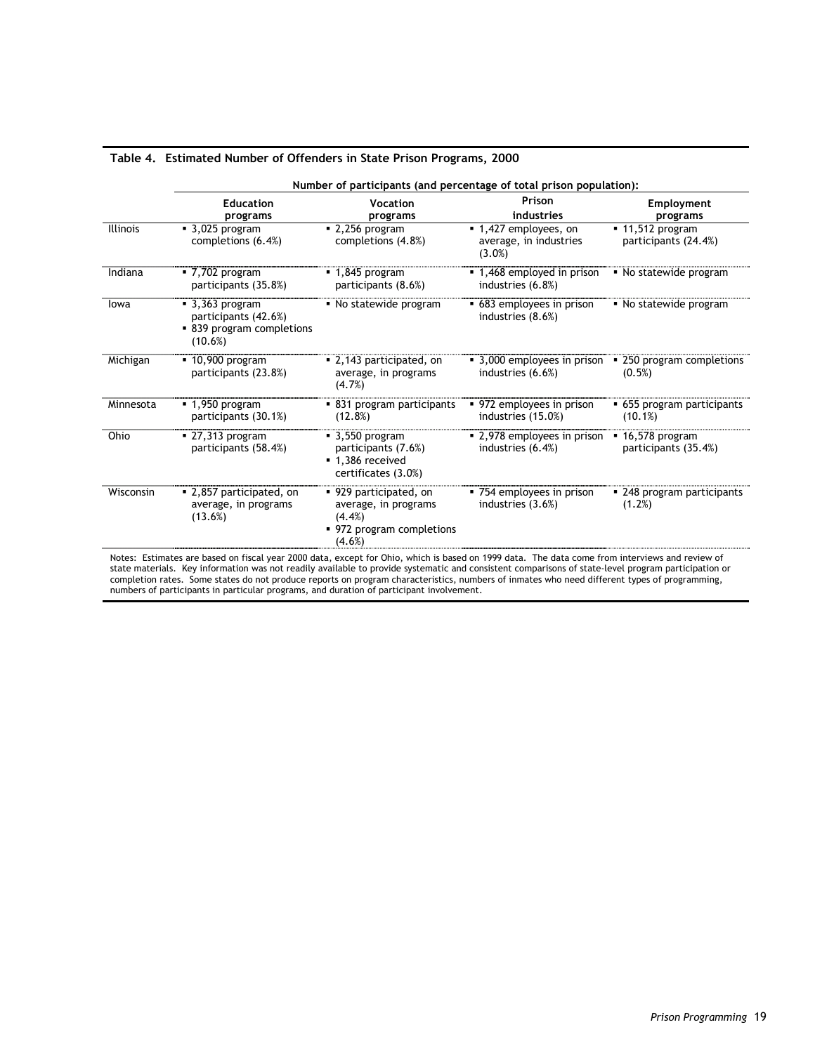|                 | Number of participants (and percentage of total prison population):                             |                                                                                                       |                                                           |                                                       |
|-----------------|-------------------------------------------------------------------------------------------------|-------------------------------------------------------------------------------------------------------|-----------------------------------------------------------|-------------------------------------------------------|
|                 | <b>Education</b><br>programs                                                                    | Vocation<br>programs                                                                                  | Prison<br>industries                                      | Employment<br>programs                                |
| <b>Illinois</b> | $\blacksquare$ 3,025 program<br>completions (6.4%)                                              | $-2,256$ program<br>completions (4.8%)                                                                | ■ 1,427 employees, on<br>average, in industries<br>(3.0%) | $-11,512 program$<br>participants (24.4%)             |
| Indiana         | $-7,702$ program<br>participants (35.8%)                                                        | $-1,845$ program<br>participants (8.6%)                                                               | ■ 1,468 employed in prison<br>industries (6.8%)           | • No statewide program                                |
| lowa            | $\blacksquare$ 3,363 program<br>participants (42.6%)<br>• 839 program completions<br>$(10.6\%)$ | • No statewide program                                                                                | • 683 employees in prison<br>industries (8.6%)            | • No statewide program                                |
| Michigan        | $\overline{10,900}$ program<br>participants (23.8%)                                             | • 2,143 participated, on<br>average, in programs<br>(4.7%)                                            | • 3,000 employees in prison<br>industries (6.6%)          | • 250 program completions<br>(0.5%)                   |
| Minnesota       | $-1,950$ program<br>participants (30.1%)                                                        | • 831 program participants<br>(12.8%)                                                                 | • 972 employees in prison<br>industries (15.0%)           | • 655 program participants<br>(10.1%)                 |
| Ohio            | $-27,313$ program<br>participants (58.4%)                                                       | $\blacksquare$ 3,550 program<br>participants (7.6%)<br>■ 1,386 received<br>certificates (3.0%)        | ■ 2,978 employees in prison<br>industries (6.4%)          | $\blacksquare$ 16,578 program<br>participants (35.4%) |
| Wisconsin       | • 2,857 participated, on<br>average, in programs<br>(13.6%)                                     | • 929 participated, on<br>average, in programs<br>$(4.4\%)$<br>• 972 program completions<br>$(4.6\%)$ | • 754 employees in prison<br>industries (3.6%)            | • 248 program participants<br>(1.2%)                  |

#### **Table 4. Estimated Number of Offenders in State Prison Programs, 2000**

state materials. Key information was not readily available to provide systematic and consistent comparisons of state-level program participation or completion rates. Some states do not produce reports on program characteristics, numbers of inmates who need different types of programming, numbers of participants in particular programs, and duration of participant involvement.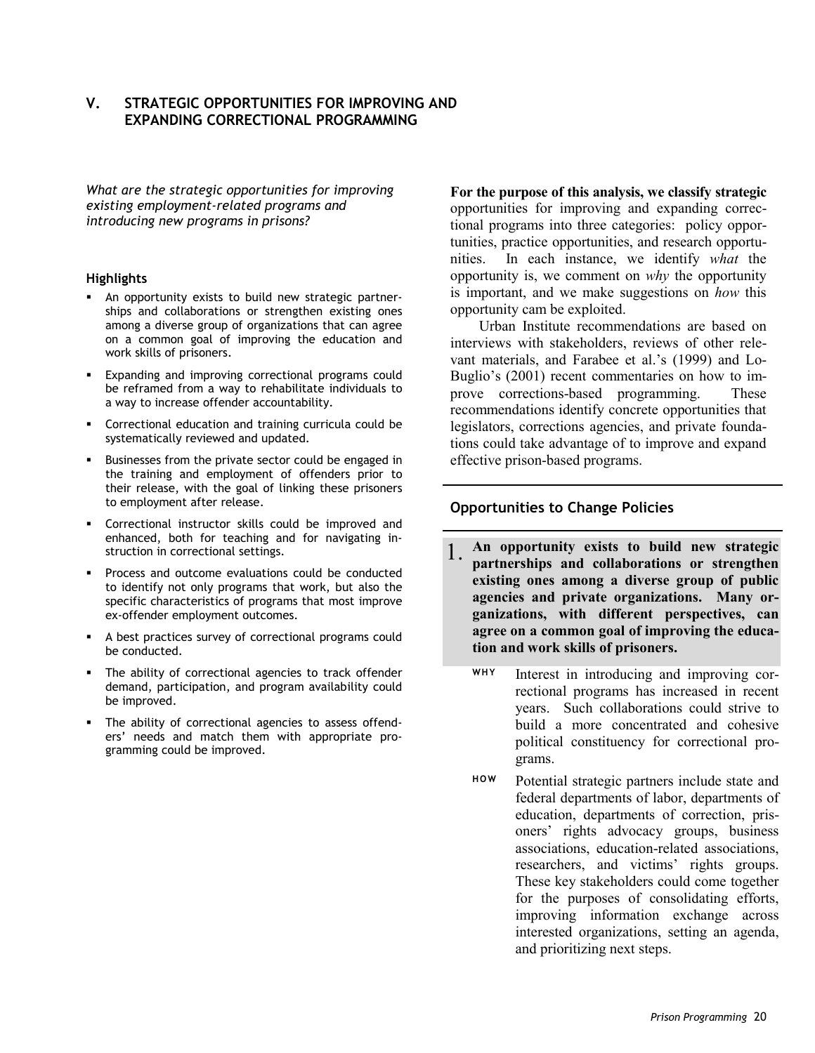# **V. STRATEGIC OPPORTUNITIES FOR IMPROVING AND EXPANDING CORRECTIONAL PROGRAMMING**

*What are the strategic opportunities for improving existing employment-related programs and introducing new programs in prisons?*

#### **Highlights**

- An opportunity exists to build new strategic partnerships and collaborations or strengthen existing ones among a diverse group of organizations that can agree on a common goal of improving the education and work skills of prisoners.
- **Expanding and improving correctional programs could** be reframed from a way to rehabilitate individuals to a way to increase offender accountability.
- Correctional education and training curricula could be systematically reviewed and updated.
- Businesses from the private sector could be engaged in the training and employment of offenders prior to their release, with the goal of linking these prisoners to employment after release.
- Correctional instructor skills could be improved and enhanced, both for teaching and for navigating instruction in correctional settings.
- Process and outcome evaluations could be conducted to identify not only programs that work, but also the specific characteristics of programs that most improve ex-offender employment outcomes.
- A best practices survey of correctional programs could be conducted.
- The ability of correctional agencies to track offender demand, participation, and program availability could be improved.
- The ability of correctional agencies to assess offenders' needs and match them with appropriate programming could be improved.

**For the purpose of this analysis, we classify strategic** opportunities for improving and expanding correctional programs into three categories: policy opportunities, practice opportunities, and research opportunities. In each instance, we identify *what* the opportunity is, we comment on *why* the opportunity is important, and we make suggestions on *how* this opportunity cam be exploited.

Urban Institute recommendations are based on interviews with stakeholders, reviews of other relevant materials, and Farabee et al.'s (1999) and Lo-Buglio's (2001) recent commentaries on how to improve corrections-based programming. These recommendations identify concrete opportunities that legislators, corrections agencies, and private foundations could take advantage of to improve and expand effective prison-based programs.

# **Opportunities to Change Policies**

- 1. **An opportunity exists to build new strategic partnerships and collaborations or strengthen existing ones among a diverse group of public agencies and private organizations. Many organizations, with different perspectives, can agree on a common goal of improving the education and work skills of prisoners.**
	- **WHY** Interest in introducing and improving correctional programs has increased in recent years. Such collaborations could strive to build a more concentrated and cohesive political constituency for correctional programs.
	- **HOW** Potential strategic partners include state and federal departments of labor, departments of education, departments of correction, prisoners' rights advocacy groups, business associations, education-related associations, researchers, and victims' rights groups. These key stakeholders could come together for the purposes of consolidating efforts, improving information exchange across interested organizations, setting an agenda, and prioritizing next steps.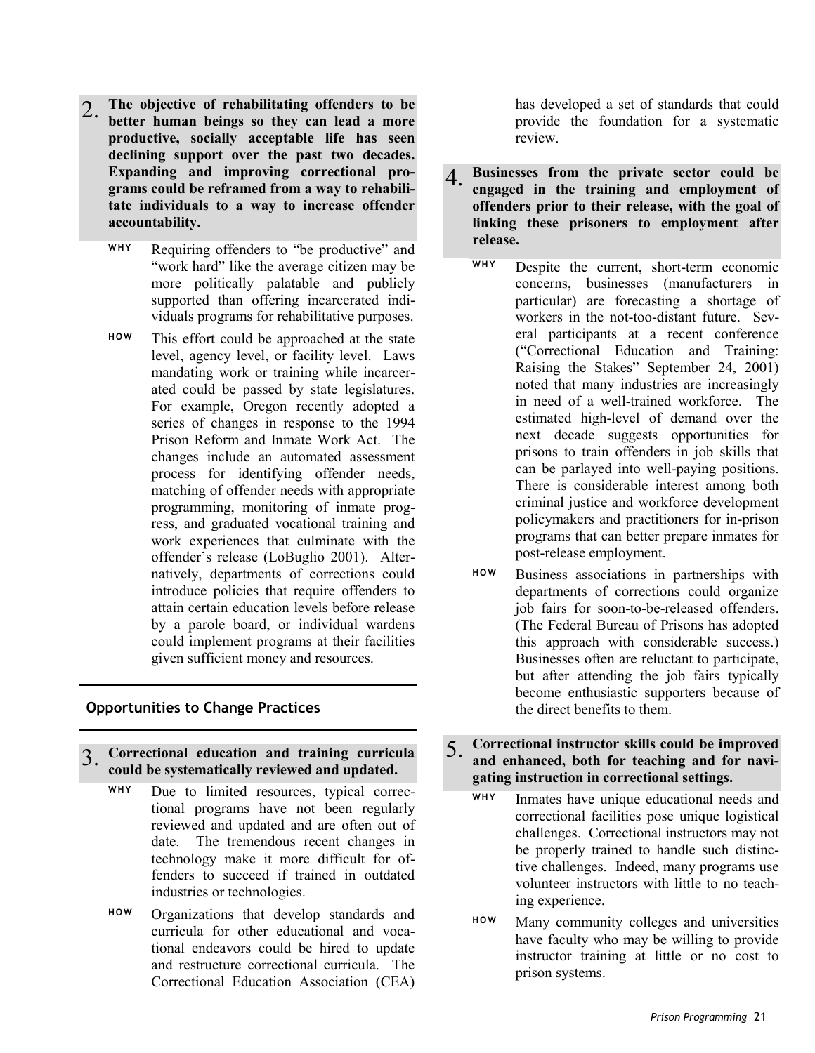- 2. **The objective of rehabilitating offenders to be better human beings so they can lead a more productive, socially acceptable life has seen declining support over the past two decades. Expanding and improving correctional programs could be reframed from a way to rehabilitate individuals to a way to increase offender accountability.**
	- **WHY** Requiring offenders to "be productive" and "work hard" like the average citizen may be more politically palatable and publicly supported than offering incarcerated individuals programs for rehabilitative purposes.
	- **HOW** This effort could be approached at the state level, agency level, or facility level. Laws mandating work or training while incarcerated could be passed by state legislatures. For example, Oregon recently adopted a series of changes in response to the 1994 Prison Reform and Inmate Work Act. The changes include an automated assessment process for identifying offender needs, matching of offender needs with appropriate programming, monitoring of inmate progress, and graduated vocational training and work experiences that culminate with the offender's release (LoBuglio 2001). Alternatively, departments of corrections could introduce policies that require offenders to attain certain education levels before release by a parole board, or individual wardens could implement programs at their facilities given sufficient money and resources.

# **Opportunities to Change Practices**

- 3. **Correctional education and training curricula could be systematically reviewed and updated.**
	- **WHY** Due to limited resources, typical correctional programs have not been regularly reviewed and updated and are often out of date. The tremendous recent changes in technology make it more difficult for offenders to succeed if trained in outdated industries or technologies.
	- **HOW** Organizations that develop standards and curricula for other educational and vocational endeavors could be hired to update and restructure correctional curricula. The Correctional Education Association (CEA)

has developed a set of standards that could provide the foundation for a systematic review.

- 4. **Businesses from the private sector could be engaged in the training and employment of offenders prior to their release, with the goal of linking these prisoners to employment after release.**
	- **WHY** Despite the current, short-term economic concerns, businesses (manufacturers in particular) are forecasting a shortage of workers in the not-too-distant future. Several participants at a recent conference ("Correctional Education and Training: Raising the Stakes" September 24, 2001) noted that many industries are increasingly in need of a well-trained workforce. The estimated high-level of demand over the next decade suggests opportunities for prisons to train offenders in job skills that can be parlayed into well-paying positions. There is considerable interest among both criminal justice and workforce development policymakers and practitioners for in-prison programs that can better prepare inmates for post-release employment.
	- **HOW** Business associations in partnerships with departments of corrections could organize job fairs for soon-to-be-released offenders. (The Federal Bureau of Prisons has adopted this approach with considerable success.) Businesses often are reluctant to participate, but after attending the job fairs typically become enthusiastic supporters because of the direct benefits to them.
- 5. **Correctional instructor skills could be improved and enhanced, both for teaching and for navigating instruction in correctional settings.**
	- **WHY** Inmates have unique educational needs and correctional facilities pose unique logistical challenges. Correctional instructors may not be properly trained to handle such distinctive challenges. Indeed, many programs use volunteer instructors with little to no teaching experience.
	- **HOW** Many community colleges and universities have faculty who may be willing to provide instructor training at little or no cost to prison systems.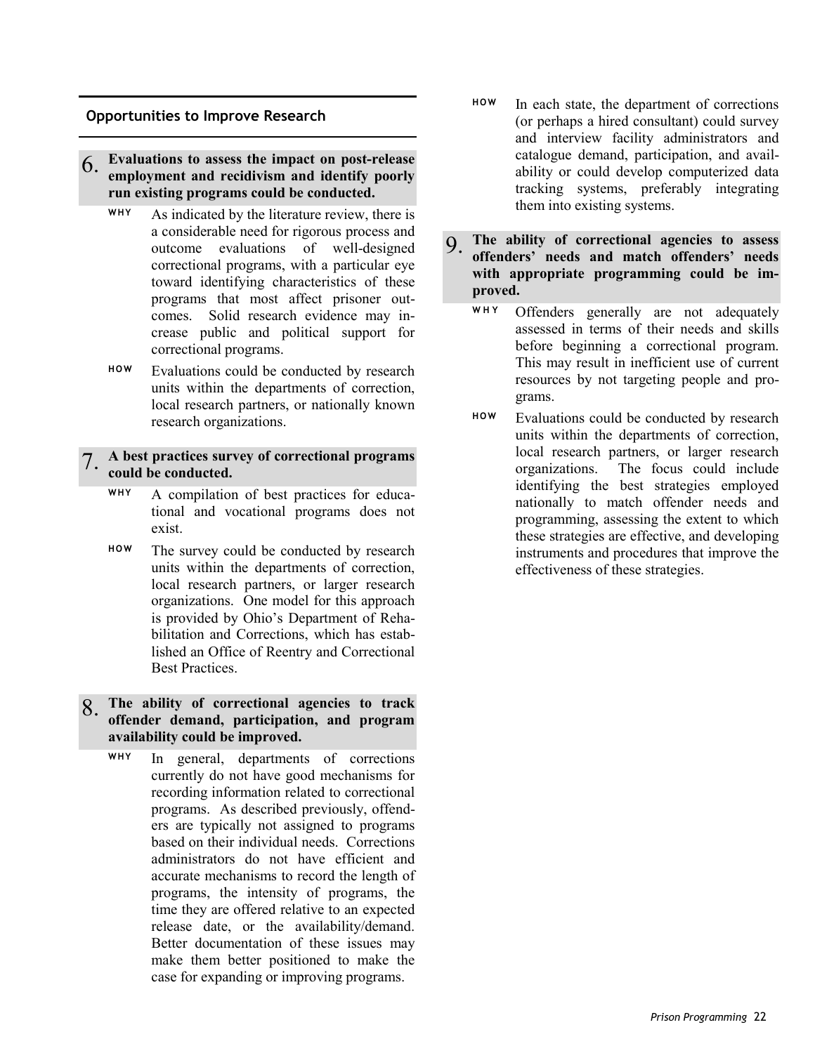### **Opportunities to Improve Research**

# 6. **Evaluations to assess the impact on post-release employment and recidivism and identify poorly run existing programs could be conducted.**

- **WHY** As indicated by the literature review, there is a considerable need for rigorous process and outcome evaluations of well-designed correctional programs, with a particular eye toward identifying characteristics of these programs that most affect prisoner outcomes. Solid research evidence may increase public and political support for correctional programs.
- **HOW** Evaluations could be conducted by research units within the departments of correction, local research partners, or nationally known research organizations.

# 7. **A best practices survey of correctional programs could be conducted.**

- **WHY** A compilation of best practices for educational and vocational programs does not exist.
- **HOW** The survey could be conducted by research units within the departments of correction, local research partners, or larger research organizations. One model for this approach is provided by Ohio's Department of Rehabilitation and Corrections, which has established an Office of Reentry and Correctional Best Practices.

# 8. **The ability of correctional agencies to track offender demand, participation, and program availability could be improved.**

**WHY** In general, departments of corrections currently do not have good mechanisms for recording information related to correctional programs. As described previously, offenders are typically not assigned to programs based on their individual needs. Corrections administrators do not have efficient and accurate mechanisms to record the length of programs, the intensity of programs, the time they are offered relative to an expected release date, or the availability/demand. Better documentation of these issues may make them better positioned to make the case for expanding or improving programs.

- **HOW** In each state, the department of corrections (or perhaps a hired consultant) could survey and interview facility administrators and catalogue demand, participation, and availability or could develop computerized data tracking systems, preferably integrating them into existing systems.
- 9. **The ability of correctional agencies to assess offenders' needs and match offenders' needs with appropriate programming could be improved.**
	- **WHY** Offenders generally are not adequately assessed in terms of their needs and skills before beginning a correctional program. This may result in inefficient use of current resources by not targeting people and programs.
	- **HOW** Evaluations could be conducted by research units within the departments of correction, local research partners, or larger research organizations. The focus could include identifying the best strategies employed nationally to match offender needs and programming, assessing the extent to which these strategies are effective, and developing instruments and procedures that improve the effectiveness of these strategies.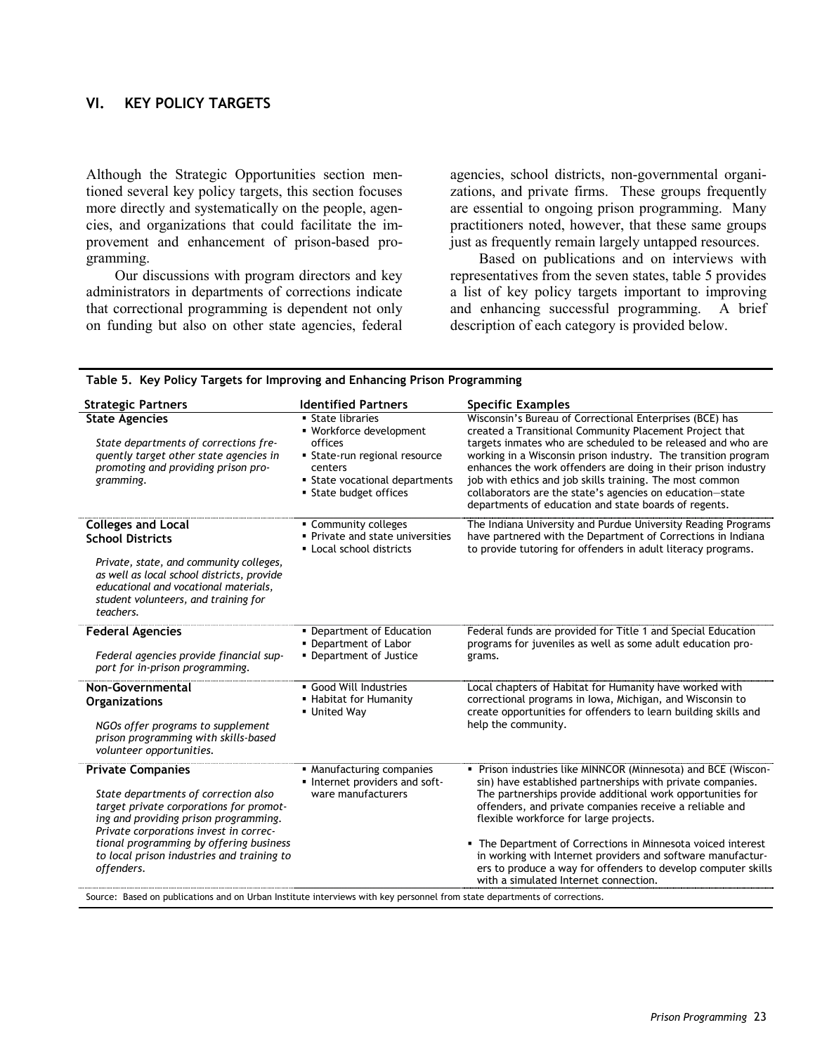# **VI. KEY POLICY TARGETS**

Although the Strategic Opportunities section mentioned several key policy targets, this section focuses more directly and systematically on the people, agencies, and organizations that could facilitate the improvement and enhancement of prison-based programming.

Our discussions with program directors and key administrators in departments of corrections indicate that correctional programming is dependent not only on funding but also on other state agencies, federal

agencies, school districts, non-governmental organizations, and private firms. These groups frequently are essential to ongoing prison programming. Many practitioners noted, however, that these same groups just as frequently remain largely untapped resources.

Based on publications and on interviews with representatives from the seven states, table 5 provides a list of key policy targets important to improving and enhancing successful programming. A brief description of each category is provided below.

| <b>Strategic Partners</b>                                                                                                                                                                                                                                                                                                                                                                                                          | <b>Identified Partners</b>                                                                                                                                    | <b>Specific Examples</b>                                                                                                                                                                                                                                                                                                                                                                                                                                                                                                                |
|------------------------------------------------------------------------------------------------------------------------------------------------------------------------------------------------------------------------------------------------------------------------------------------------------------------------------------------------------------------------------------------------------------------------------------|---------------------------------------------------------------------------------------------------------------------------------------------------------------|-----------------------------------------------------------------------------------------------------------------------------------------------------------------------------------------------------------------------------------------------------------------------------------------------------------------------------------------------------------------------------------------------------------------------------------------------------------------------------------------------------------------------------------------|
| <b>State Agencies</b><br>State departments of corrections fre-<br>quently target other state agencies in<br>promoting and providing prison pro-<br>gramming.                                                                                                                                                                                                                                                                       | • State libraries<br>· Workforce development<br>offices<br>• State-run regional resource<br>centers<br>• State vocational departments<br>State budget offices | Wisconsin's Bureau of Correctional Enterprises (BCE) has<br>created a Transitional Community Placement Project that<br>targets inmates who are scheduled to be released and who are<br>working in a Wisconsin prison industry. The transition program<br>enhances the work offenders are doing in their prison industry<br>job with ethics and job skills training. The most common<br>collaborators are the state's agencies on education-state<br>departments of education and state boards of regents.                               |
| <b>Colleges and Local</b><br><b>School Districts</b><br>Private, state, and community colleges,<br>as well as local school districts, provide<br>educational and vocational materials,<br>student volunteers, and training for<br>teachers.                                                                                                                                                                                        | • Community colleges<br>• Private and state universities<br>• Local school districts                                                                          | The Indiana University and Purdue University Reading Programs<br>have partnered with the Department of Corrections in Indiana<br>to provide tutoring for offenders in adult literacy programs.                                                                                                                                                                                                                                                                                                                                          |
| <b>Federal Agencies</b><br>Federal agencies provide financial sup-<br>port for in-prison programming.                                                                                                                                                                                                                                                                                                                              | • Department of Education<br>• Department of Labor<br>• Department of Justice                                                                                 | Federal funds are provided for Title 1 and Special Education<br>programs for juveniles as well as some adult education pro-<br>grams.                                                                                                                                                                                                                                                                                                                                                                                                   |
| Non-Governmental<br><b>Organizations</b><br>NGOs offer programs to supplement<br>prison programming with skills-based<br>volunteer opportunities.                                                                                                                                                                                                                                                                                  | • Good Will Industries<br>• Habitat for Humanity<br>• United Way                                                                                              | Local chapters of Habitat for Humanity have worked with<br>correctional programs in Iowa, Michigan, and Wisconsin to<br>create opportunities for offenders to learn building skills and<br>help the community.                                                                                                                                                                                                                                                                                                                          |
| <b>Private Companies</b><br>State departments of correction also<br>target private corporations for promot-<br>ing and providing prison programming.<br>Private corporations invest in correc-<br>tional programming by offering business<br>to local prison industries and training to<br>offenders.<br>Source: Based on publications and on Urban Institute interviews with key personnel from state departments of corrections. | • Manufacturing companies<br>Internet providers and soft-<br>ware manufacturers                                                                               | • Prison industries like MINNCOR (Minnesota) and BCE (Wiscon-<br>sin) have established partnerships with private companies.<br>The partnerships provide additional work opportunities for<br>offenders, and private companies receive a reliable and<br>flexible workforce for large projects.<br>• The Department of Corrections in Minnesota voiced interest<br>in working with Internet providers and software manufactur-<br>ers to produce a way for offenders to develop computer skills<br>with a simulated Internet connection. |

#### **Table 5. Key Policy Targets for Improving and Enhancing Prison Programming**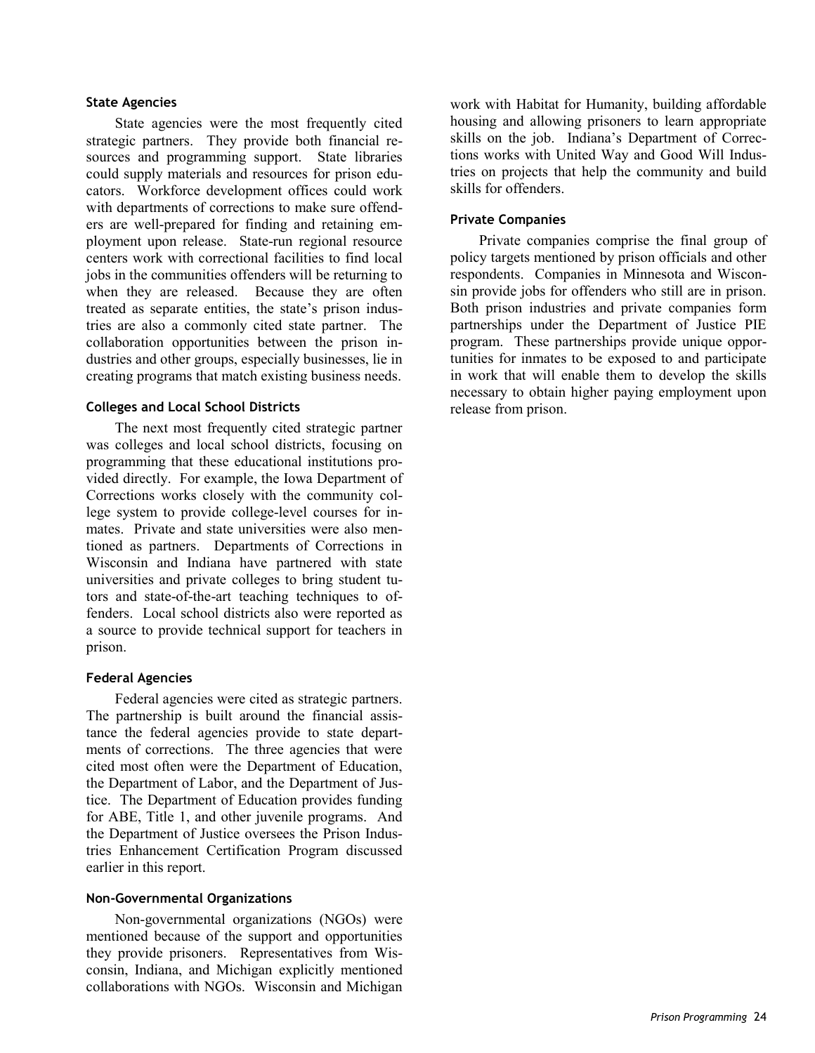#### **State Agencies**

State agencies were the most frequently cited strategic partners. They provide both financial resources and programming support. State libraries could supply materials and resources for prison educators. Workforce development offices could work with departments of corrections to make sure offenders are well-prepared for finding and retaining employment upon release. State-run regional resource centers work with correctional facilities to find local jobs in the communities offenders will be returning to when they are released. Because they are often treated as separate entities, the state's prison industries are also a commonly cited state partner. The collaboration opportunities between the prison industries and other groups, especially businesses, lie in creating programs that match existing business needs.

#### **Colleges and Local School Districts**

The next most frequently cited strategic partner was colleges and local school districts, focusing on programming that these educational institutions provided directly. For example, the Iowa Department of Corrections works closely with the community college system to provide college-level courses for inmates. Private and state universities were also mentioned as partners. Departments of Corrections in Wisconsin and Indiana have partnered with state universities and private colleges to bring student tutors and state-of-the-art teaching techniques to offenders. Local school districts also were reported as a source to provide technical support for teachers in prison.

#### **Federal Agencies**

Federal agencies were cited as strategic partners. The partnership is built around the financial assistance the federal agencies provide to state departments of corrections. The three agencies that were cited most often were the Department of Education, the Department of Labor, and the Department of Justice. The Department of Education provides funding for ABE, Title 1, and other juvenile programs. And the Department of Justice oversees the Prison Industries Enhancement Certification Program discussed earlier in this report.

#### **Non-Governmental Organizations**

Non-governmental organizations (NGOs) were mentioned because of the support and opportunities they provide prisoners. Representatives from Wisconsin, Indiana, and Michigan explicitly mentioned collaborations with NGOs. Wisconsin and Michigan work with Habitat for Humanity, building affordable housing and allowing prisoners to learn appropriate skills on the job. Indiana's Department of Corrections works with United Way and Good Will Industries on projects that help the community and build skills for offenders.

#### **Private Companies**

Private companies comprise the final group of policy targets mentioned by prison officials and other respondents. Companies in Minnesota and Wisconsin provide jobs for offenders who still are in prison. Both prison industries and private companies form partnerships under the Department of Justice PIE program. These partnerships provide unique opportunities for inmates to be exposed to and participate in work that will enable them to develop the skills necessary to obtain higher paying employment upon release from prison.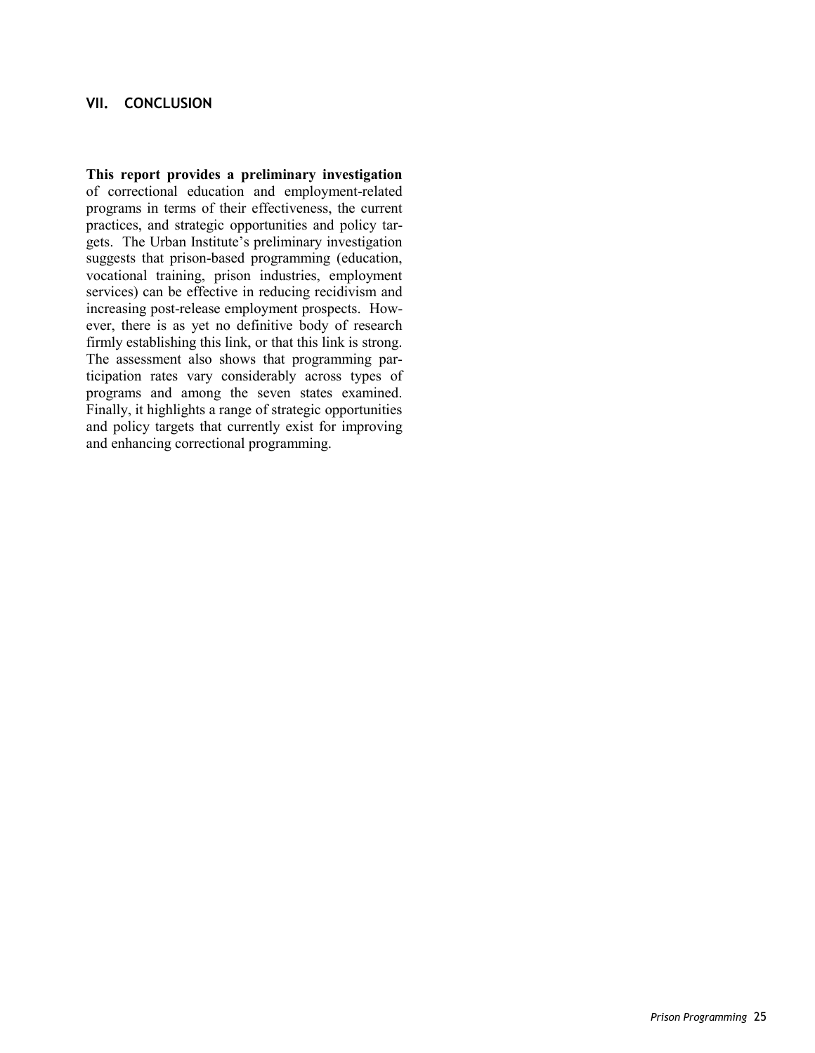# **VII. CONCLUSION**

**This report provides a preliminary investigation** of correctional education and employment-related programs in terms of their effectiveness, the current practices, and strategic opportunities and policy targets. The Urban Institute's preliminary investigation suggests that prison-based programming (education, vocational training, prison industries, employment services) can be effective in reducing recidivism and increasing post-release employment prospects. However, there is as yet no definitive body of research firmly establishing this link, or that this link is strong. The assessment also shows that programming participation rates vary considerably across types of programs and among the seven states examined. Finally, it highlights a range of strategic opportunities and policy targets that currently exist for improving and enhancing correctional programming.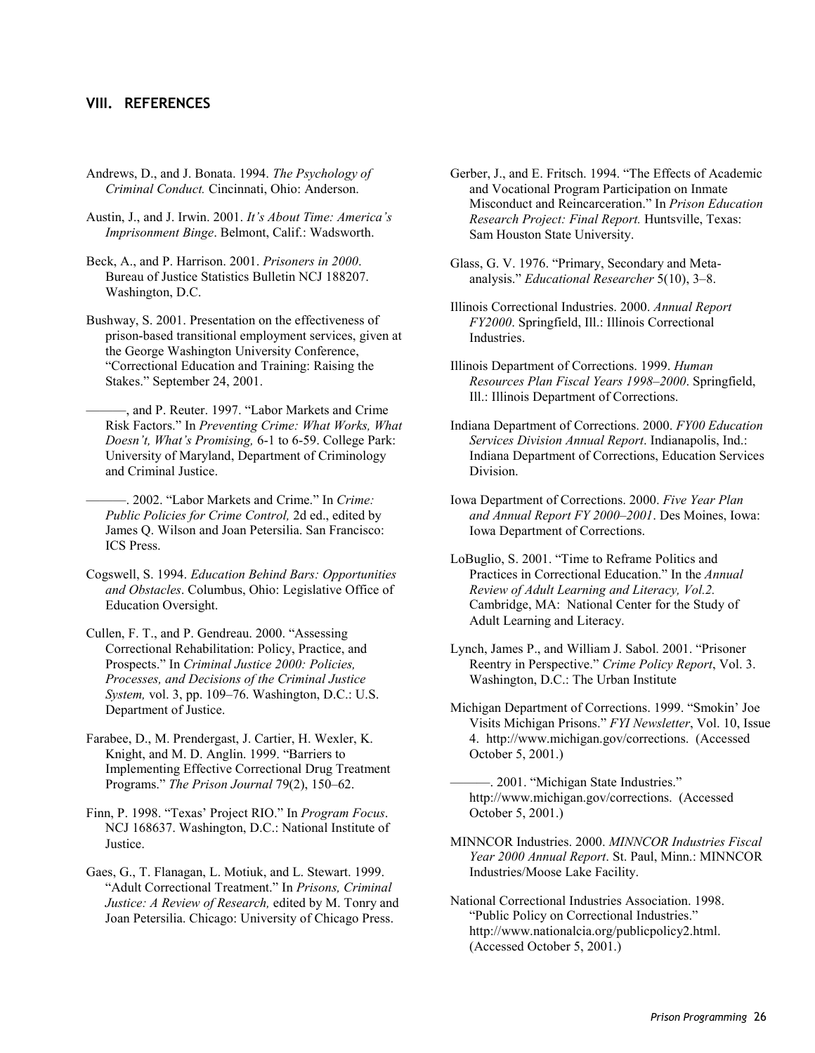### **VIII. REFERENCES**

- Andrews, D., and J. Bonata. 1994. *The Psychology of Criminal Conduct.* Cincinnati, Ohio: Anderson.
- Austin, J., and J. Irwin. 2001. *It's About Time: America's Imprisonment Binge*. Belmont, Calif.: Wadsworth.
- Beck, A., and P. Harrison. 2001. *Prisoners in 2000*. Bureau of Justice Statistics Bulletin NCJ 188207. Washington, D.C.
- Bushway, S. 2001. Presentation on the effectiveness of prison-based transitional employment services, given at the George Washington University Conference, "Correctional Education and Training: Raising the Stakes." September 24, 2001.
	- ———, and P. Reuter. 1997. "Labor Markets and Crime Risk Factors." In *Preventing Crime: What Works, What Doesn't, What's Promising,* 6-1 to 6-59. College Park: University of Maryland, Department of Criminology and Criminal Justice.
	- ———. 2002. "Labor Markets and Crime." In *Crime: Public Policies for Crime Control,* 2d ed., edited by James Q. Wilson and Joan Petersilia. San Francisco: ICS Press.
- Cogswell, S. 1994. *Education Behind Bars: Opportunities and Obstacles*. Columbus, Ohio: Legislative Office of Education Oversight.
- Cullen, F. T., and P. Gendreau. 2000. "Assessing Correctional Rehabilitation: Policy, Practice, and Prospects." In *Criminal Justice 2000: Policies, Processes, and Decisions of the Criminal Justice System,* vol. 3, pp. 109–76. Washington, D.C.: U.S. Department of Justice.
- Farabee, D., M. Prendergast, J. Cartier, H. Wexler, K. Knight, and M. D. Anglin. 1999. "Barriers to Implementing Effective Correctional Drug Treatment Programs." *The Prison Journal* 79(2), 150–62.
- Finn, P. 1998. "Texas' Project RIO." In *Program Focus*. NCJ 168637. Washington, D.C.: National Institute of Justice.
- Gaes, G., T. Flanagan, L. Motiuk, and L. Stewart. 1999. "Adult Correctional Treatment." In *Prisons, Criminal Justice: A Review of Research,* edited by M. Tonry and Joan Petersilia. Chicago: University of Chicago Press.
- Gerber, J., and E. Fritsch. 1994. "The Effects of Academic and Vocational Program Participation on Inmate Misconduct and Reincarceration." In *Prison Education Research Project: Final Report.* Huntsville, Texas: Sam Houston State University.
- Glass, G. V. 1976. "Primary, Secondary and Metaanalysis." *Educational Researcher* 5(10), 3–8.
- Illinois Correctional Industries. 2000. *Annual Report FY2000*. Springfield, Ill.: Illinois Correctional Industries.
- Illinois Department of Corrections. 1999. *Human Resources Plan Fiscal Years 1998–2000*. Springfield, Ill.: Illinois Department of Corrections.
- Indiana Department of Corrections. 2000. *FY00 Education Services Division Annual Report*. Indianapolis, Ind.: Indiana Department of Corrections, Education Services Division.
- Iowa Department of Corrections. 2000. *Five Year Plan and Annual Report FY 2000–2001*. Des Moines, Iowa: Iowa Department of Corrections.
- LoBuglio, S. 2001. "Time to Reframe Politics and Practices in Correctional Education." In the *Annual Review of Adult Learning and Literacy, Vol.2.* Cambridge, MA: National Center for the Study of Adult Learning and Literacy.
- Lynch, James P., and William J. Sabol. 2001. "Prisoner Reentry in Perspective." *Crime Policy Report*, Vol. 3. Washington, D.C.: The Urban Institute
- Michigan Department of Corrections. 1999. "Smokin' Joe Visits Michigan Prisons." *FYI Newsletter*, Vol. 10, Issue 4. http://www.michigan.gov/corrections. (Accessed October 5, 2001.)
	- ———. 2001. "Michigan State Industries." http://www.michigan.gov/corrections. (Accessed October 5, 2001.)
- MINNCOR Industries. 2000. *MINNCOR Industries Fiscal Year 2000 Annual Report*. St. Paul, Minn.: MINNCOR Industries/Moose Lake Facility.
- National Correctional Industries Association. 1998. "Public Policy on Correctional Industries." http://www.nationalcia.org/publicpolicy2.html. (Accessed October 5, 2001.)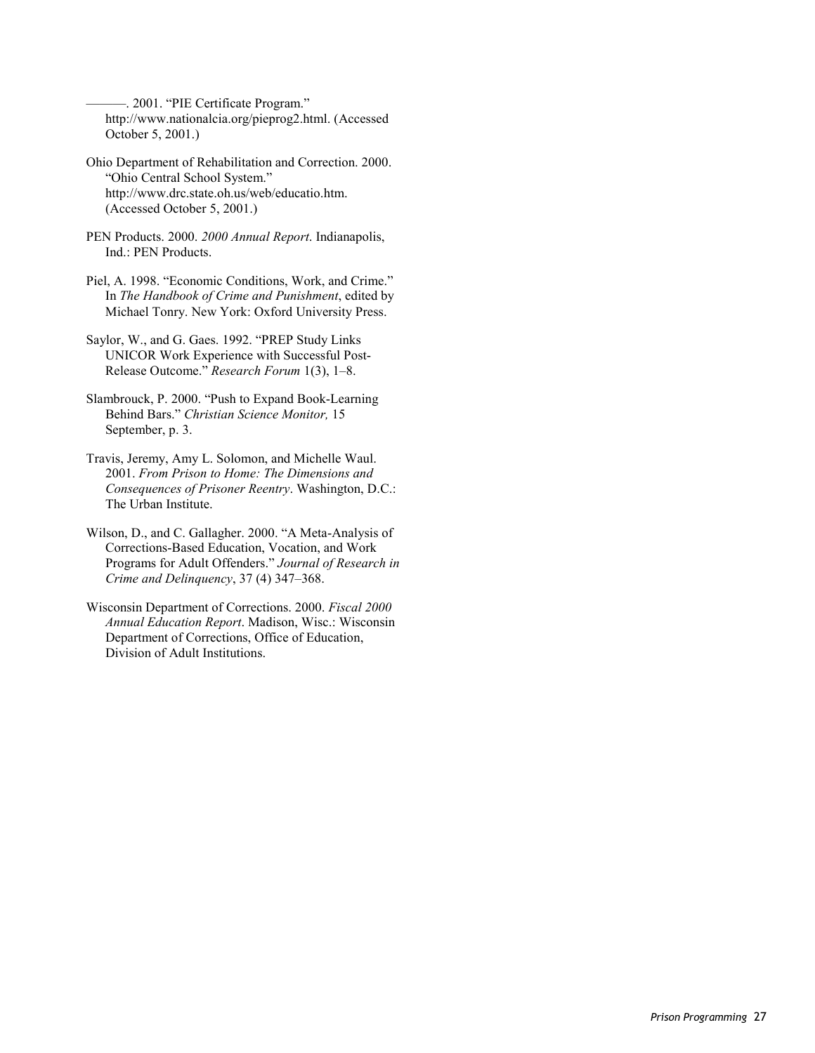-. 2001. "PIE Certificate Program." http://www.nationalcia.org/pieprog2.html. (Accessed October 5, 2001.)

- Ohio Department of Rehabilitation and Correction. 2000. "Ohio Central School System." http://www.drc.state.oh.us/web/educatio.htm. (Accessed October 5, 2001.)
- PEN Products. 2000. *2000 Annual Report*. Indianapolis, Ind.: PEN Products.
- Piel, A. 1998. "Economic Conditions, Work, and Crime." In *The Handbook of Crime and Punishment*, edited by Michael Tonry. New York: Oxford University Press.
- Saylor, W., and G. Gaes. 1992. "PREP Study Links UNICOR Work Experience with Successful Post-Release Outcome." *Research Forum* 1(3), 1–8.
- Slambrouck, P. 2000. "Push to Expand Book-Learning Behind Bars." *Christian Science Monitor,* 15 September, p. 3.
- Travis, Jeremy, Amy L. Solomon, and Michelle Waul. 2001. *From Prison to Home: The Dimensions and Consequences of Prisoner Reentry*. Washington, D.C.: The Urban Institute.
- Wilson, D., and C. Gallagher. 2000. "A Meta-Analysis of Corrections-Based Education, Vocation, and Work Programs for Adult Offenders." *Journal of Research in Crime and Delinquency*, 37 (4) 347–368.
- Wisconsin Department of Corrections. 2000. *Fiscal 2000 Annual Education Report*. Madison, Wisc.: Wisconsin Department of Corrections, Office of Education, Division of Adult Institutions.